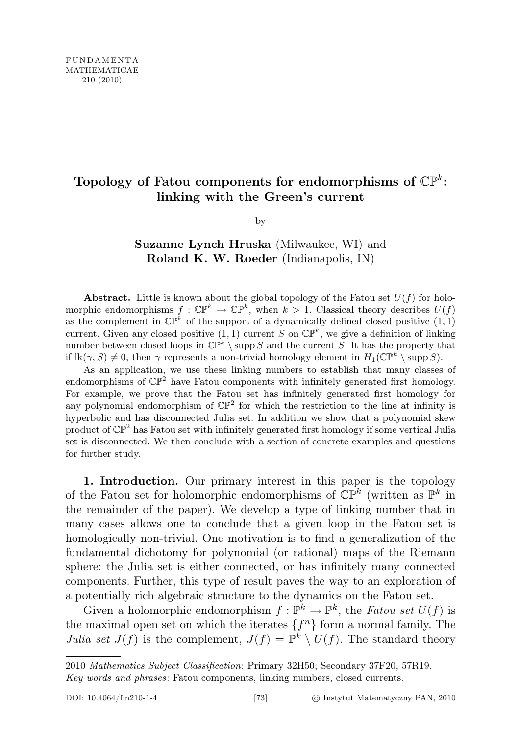## Topology of Fatou components for endomorphisms of  $\mathbb{CP}^k$ : linking with the Green's current

by

## Suzanne Lynch Hruska (Milwaukee, WI) and Roland K. W. Roeder (Indianapolis, IN)

**Abstract.** Little is known about the global topology of the Fatou set  $U(f)$  for holomorphic endomorphisms  $f: \mathbb{CP}^k \to \mathbb{CP}^k$ , when  $k > 1$ . Classical theory describes  $U(f)$ as the complement in  $\mathbb{CP}^k$  of the support of a dynamically defined closed positive  $(1,1)$ current. Given any closed positive  $(1,1)$  current S on  $\mathbb{CP}^k$ , we give a definition of linking number between closed loops in  $\mathbb{CP}^k \setminus \text{supp } S$  and the current S. It has the property that if  $\text{lk}(\gamma, S) \neq 0$ , then  $\gamma$  represents a non-trivial homology element in  $H_1(\mathbb{CP}^k \setminus \text{supp } S)$ .

As an application, we use these linking numbers to establish that many classes of endomorphisms of  $\mathbb{CP}^2$  have Fatou components with infinitely generated first homology. For example, we prove that the Fatou set has infinitely generated first homology for any polynomial endomorphism of  $\mathbb{CP}^2$  for which the restriction to the line at infinity is hyperbolic and has disconnected Julia set. In addition we show that a polynomial skew product of  $\mathbb{CP}^2$  has Fatou set with infinitely generated first homology if some vertical Julia set is disconnected. We then conclude with a section of concrete examples and questions for further study.

1. Introduction. Our primary interest in this paper is the topology of the Fatou set for holomorphic endomorphisms of  $\mathbb{CP}^k$  (written as  $\mathbb{P}^k$  in the remainder of the paper). We develop a type of linking number that in many cases allows one to conclude that a given loop in the Fatou set is homologically non-trivial. One motivation is to find a generalization of the fundamental dichotomy for polynomial (or rational) maps of the Riemann sphere: the Julia set is either connected, or has infinitely many connected components. Further, this type of result paves the way to an exploration of a potentially rich algebraic structure to the dynamics on the Fatou set.

Given a holomorphic endomorphism  $f: \mathbb{P}^k \to \mathbb{P}^k$ , the Fatou set  $U(f)$  is the maximal open set on which the iterates  $\{f^n\}$  form a normal family. The Julia set  $J(f)$  is the complement,  $J(f) = \mathbb{P}^k \setminus U(f)$ . The standard theory

<sup>2010</sup> Mathematics Subject Classification: Primary 32H50; Secondary 37F20, 57R19.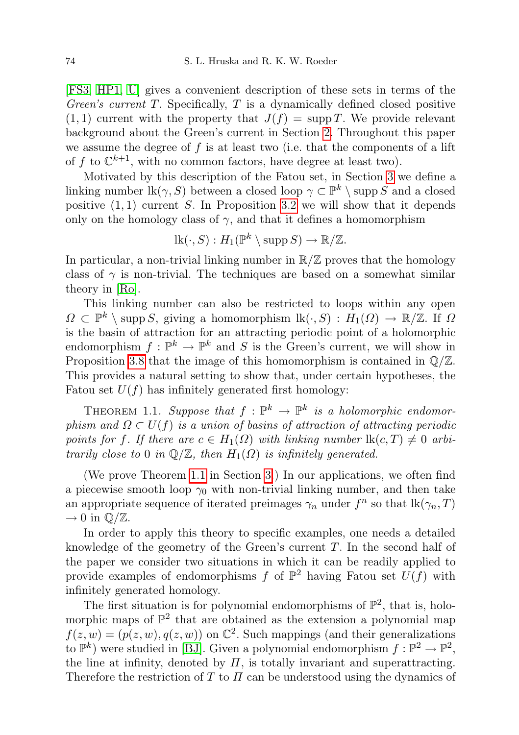[\[FS3,](#page-24-0) [HP1,](#page-24-1) [U\]](#page-25-0) gives a convenient description of these sets in terms of the Green's current  $T$ . Specifically,  $T$  is a dynamically defined closed positive  $(1, 1)$  current with the property that  $J(f) = \text{supp } T$ . We provide relevant background about the Green's current in Section [2.](#page-3-0) Throughout this paper we assume the degree of  $f$  is at least two (i.e. that the components of a lift of f to  $\mathbb{C}^{k+1}$ , with no common factors, have degree at least two).

Motivated by this description of the Fatou set, in Section [3](#page-4-0) we define a linking number  $lk(\gamma, S)$  between a closed loop  $\gamma \subset \mathbb{P}^k \setminus \text{supp } S$  and a closed positive  $(1, 1)$  current S. In Proposition [3.2](#page-6-0) we will show that it depends only on the homology class of  $\gamma$ , and that it defines a homomorphism

$$
lk(\cdot, S) : H_1(\mathbb{P}^k \setminus \operatorname{supp} S) \to \mathbb{R}/\mathbb{Z}.
$$

In particular, a non-trivial linking number in  $\mathbb{R}/\mathbb{Z}$  proves that the homology class of  $\gamma$  is non-trivial. The techniques are based on a somewhat similar theory in [\[Ro\]](#page-25-1).

This linking number can also be restricted to loops within any open  $\Omega \subset \mathbb{P}^k \setminus \text{supp } S$ , giving a homomorphism  $\text{lk}(\cdot, S) : H_1(\Omega) \to \mathbb{R}/\mathbb{Z}$ . If  $\Omega$ is the basin of attraction for an attracting periodic point of a holomorphic endomorphism  $f: \mathbb{P}^k \to \mathbb{P}^k$  and S is the Green's current, we will show in Proposition [3.8](#page-8-0) that the image of this homomorphism is contained in  $\mathbb{Q}/\mathbb{Z}$ . This provides a natural setting to show that, under certain hypotheses, the Fatou set  $U(f)$  has infinitely generated first homology:

<span id="page-1-0"></span>THEOREM 1.1. Suppose that  $f : \mathbb{P}^k \to \mathbb{P}^k$  is a holomorphic endomorphism and  $\Omega \subset U(f)$  is a union of basins of attraction of attracting periodic points for f. If there are  $c \in H_1(\Omega)$  with linking number  $\text{lk}(c, T) \neq 0$  arbitrarily close to 0 in  $\mathbb{Q}/\mathbb{Z}$ , then  $H_1(\Omega)$  is infinitely generated.

(We prove Theorem [1.1](#page-1-0) in Section [3.](#page-4-0)) In our applications, we often find a piecewise smooth loop  $\gamma_0$  with non-trivial linking number, and then take an appropriate sequence of iterated preimages  $\gamma_n$  under  $f^n$  so that  $\text{lk}(\gamma_n, T)$  $\rightarrow 0$  in  $\mathbb{Q}/\mathbb{Z}$ .

In order to apply this theory to specific examples, one needs a detailed knowledge of the geometry of the Green's current  $T$ . In the second half of the paper we consider two situations in which it can be readily applied to provide examples of endomorphisms f of  $\mathbb{P}^2$  having Fatou set  $U(f)$  with infinitely generated homology.

The first situation is for polynomial endomorphisms of  $\mathbb{P}^2$ , that is, holomorphic maps of  $\mathbb{P}^2$  that are obtained as the extension a polynomial map  $f(z, w) = (p(z, w), q(z, w))$  on  $\mathbb{C}^2$ . Such mappings (and their generalizations to  $\mathbb{P}^k$ ) were studied in [\[BJ\]](#page-23-0). Given a polynomial endomorphism  $f : \mathbb{P}^2 \to \mathbb{P}^2$ , the line at infinity, denoted by  $\Pi$ , is totally invariant and superattracting. Therefore the restriction of  $T$  to  $\Pi$  can be understood using the dynamics of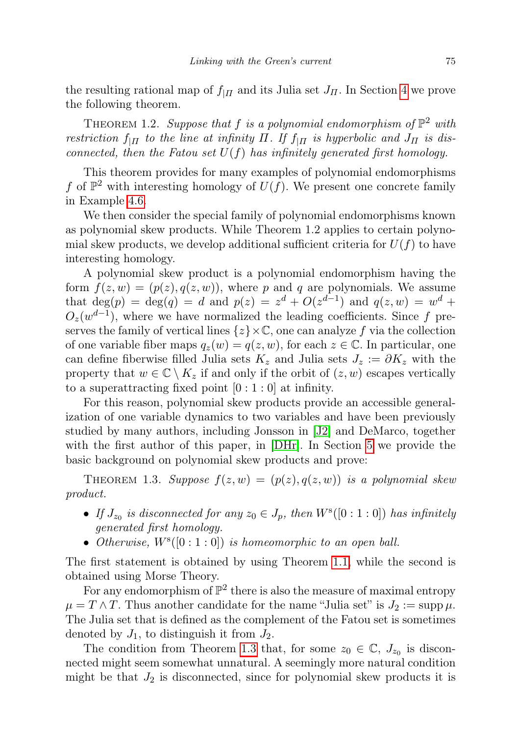the resulting rational map of  $f_{\vert H}$  and its Julia set  $J_H$ . In Section [4](#page-10-0) we prove the following theorem.

<span id="page-2-1"></span>THEOREM 1.2. Suppose that f is a polynomial endomorphism of  $\mathbb{P}^2$  with restriction  $f_{\vert \Pi}$  to the line at infinity  $\Pi$ . If  $f_{\vert \Pi}$  is hyperbolic and  $J_{\Pi}$  is disconnected, then the Fatou set  $U(f)$  has infinitely generated first homology.

This theorem provides for many examples of polynomial endomorphisms f of  $\mathbb{P}^2$  with interesting homology of  $U(f)$ . We present one concrete family in Example [4.6.](#page-12-0)

We then consider the special family of polynomial endomorphisms known as polynomial skew products. While Theorem 1.2 applies to certain polynomial skew products, we develop additional sufficient criteria for  $U(f)$  to have interesting homology.

A polynomial skew product is a polynomial endomorphism having the form  $f(z, w) = (p(z), q(z, w))$ , where p and q are polynomials. We assume that  $deg(p) = deg(q) = d$  and  $p(z) = z<sup>d</sup> + O(z<sup>d-1</sup>)$  and  $q(z, w) = w<sup>d</sup> +$  $O_z(w^{d-1})$ , where we have normalized the leading coefficients. Since f preserves the family of vertical lines  $\{z\}\times\mathbb{C}$ , one can analyze f via the collection of one variable fiber maps  $q_z(w) = q(z, w)$ , for each  $z \in \mathbb{C}$ . In particular, one can define fiberwise filled Julia sets  $K_z$  and Julia sets  $J_z := \partial K_z$  with the property that  $w \in \mathbb{C} \setminus K_z$  if and only if the orbit of  $(z, w)$  escapes vertically to a superattracting fixed point  $[0:1:0]$  at infinity.

For this reason, polynomial skew products provide an accessible generalization of one variable dynamics to two variables and have been previously studied by many authors, including Jonsson in [\[J2\]](#page-24-2) and DeMarco, together with the first author of this paper, in [\[DHr\]](#page-24-3). In Section [5](#page-13-0) we provide the basic background on polynomial skew products and prove:

<span id="page-2-0"></span>THEOREM 1.3. Suppose  $f(z, w) = (p(z), q(z, w))$  is a polynomial skew product.

- If  $J_{z_0}$  is disconnected for any  $z_0 \in J_p$ , then  $W^s([0:1:0])$  has infinitely generated first homology.
- Otherwise,  $W^{s}([0:1:0])$  is homeomorphic to an open ball.

The first statement is obtained by using Theorem [1.1,](#page-1-0) while the second is obtained using Morse Theory.

For any endomorphism of  $\mathbb{P}^2$  there is also the measure of maximal entropy  $\mu = T \wedge T$ . Thus another candidate for the name "Julia set" is  $J_2 := \text{supp }\mu$ . The Julia set that is defined as the complement of the Fatou set is sometimes denoted by  $J_1$ , to distinguish it from  $J_2$ .

The condition from Theorem [1.3](#page-2-0) that, for some  $z_0 \in \mathbb{C}$ ,  $J_{z_0}$  is disconnected might seem somewhat unnatural. A seemingly more natural condition might be that  $J_2$  is disconnected, since for polynomial skew products it is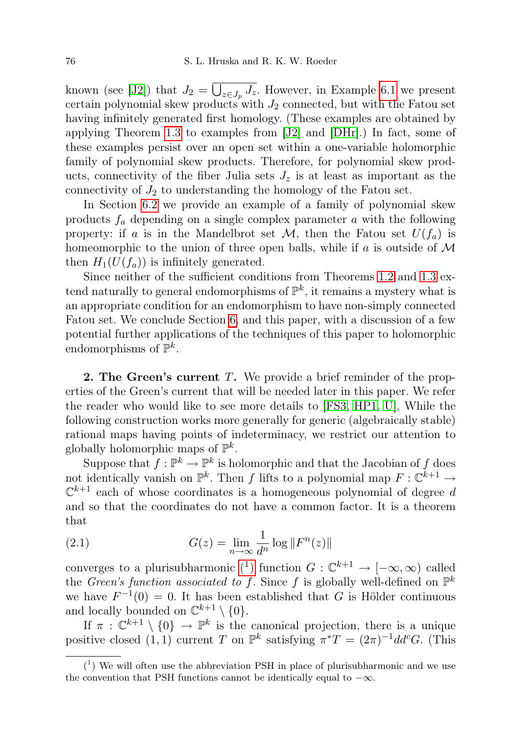known (see [\[J2\]](#page-24-2)) that  $J_2 = \bigcup_{z \in J_p} J_z$ . However, in Example [6.1](#page-19-0) we present certain polynomial skew products with  $J_2$  connected, but with the Fatou set having infinitely generated first homology. (These examples are obtained by applying Theorem [1.3](#page-2-0) to examples from [\[J2\]](#page-24-2) and [\[DHr\]](#page-24-3).) In fact, some of these examples persist over an open set within a one-variable holomorphic family of polynomial skew products. Therefore, for polynomial skew products, connectivity of the fiber Julia sets  $J_z$  is at least as important as the connectivity of  $J_2$  to understanding the homology of the Fatou set.

In Section [6.2](#page-20-0) we provide an example of a family of polynomial skew products  $f_a$  depending on a single complex parameter  $a$  with the following property: if a is in the Mandelbrot set  $\mathcal{M}$ , then the Fatou set  $U(f_a)$  is homeomorphic to the union of three open balls, while if a is outside of  $\mathcal M$ then  $H_1(U(f_a))$  is infinitely generated.

Since neither of the sufficient conditions from Theorems [1.2](#page-2-1) and [1.3](#page-2-0) extend naturally to general endomorphisms of  $\mathbb{P}^k$ , it remains a mystery what is an appropriate condition for an endomorphism to have non-simply connected Fatou set. We conclude Section [6,](#page-18-0) and this paper, with a discussion of a few potential further applications of the techniques of this paper to holomorphic endomorphisms of  $\mathbb{P}^k$ .

<span id="page-3-0"></span>2. The Green's current T. We provide a brief reminder of the properties of the Green's current that will be needed later in this paper. We refer the reader who would like to see more details to [\[FS3,](#page-24-0) [HP1,](#page-24-1) [U\]](#page-25-0). While the following construction works more generally for generic (algebraically stable) rational maps having points of indeterminacy, we restrict our attention to globally holomorphic maps of  $\mathbb{P}^k$ .

Suppose that  $f: \mathbb{P}^k \to \mathbb{P}^k$  is holomorphic and that the Jacobian of f does not identically vanish on  $\mathbb{P}^k$ . Then f lifts to a polynomial map  $F: \mathbb{C}^{k+1} \to$  $\mathbb{C}^{k+1}$  each of whose coordinates is a homogeneous polynomial of degree d and so that the coordinates do not have a common factor. It is a theorem that

(2.1) 
$$
G(z) = \lim_{n \to \infty} \frac{1}{d^n} \log \| F^n(z) \|
$$

converges to a plurisubharmonic [\(](#page-3-1)<sup>1</sup>) function  $G: \mathbb{C}^{k+1} \to [-\infty, \infty)$  called the *Green's function associated to f.* Since f is globally well-defined on  $\mathbb{P}^k$ we have  $F^{-1}(0) = 0$ . It has been established that G is Hölder continuous and locally bounded on  $\mathbb{C}^{k+1} \setminus \{0\}.$ 

If  $\pi : \mathbb{C}^{k+1} \setminus \{0\} \to \mathbb{P}^k$  is the canonical projection, there is a unique positive closed  $(1,1)$  current T on  $\mathbb{P}^k$  satisfying  $\pi^*T = (2\pi)^{-1}dd^cG$ . (This

<span id="page-3-1"></span> $(1)$  We will often use the abbreviation PSH in place of plurisubharmonic and we use the convention that PSH functions cannot be identically equal to  $-\infty$ .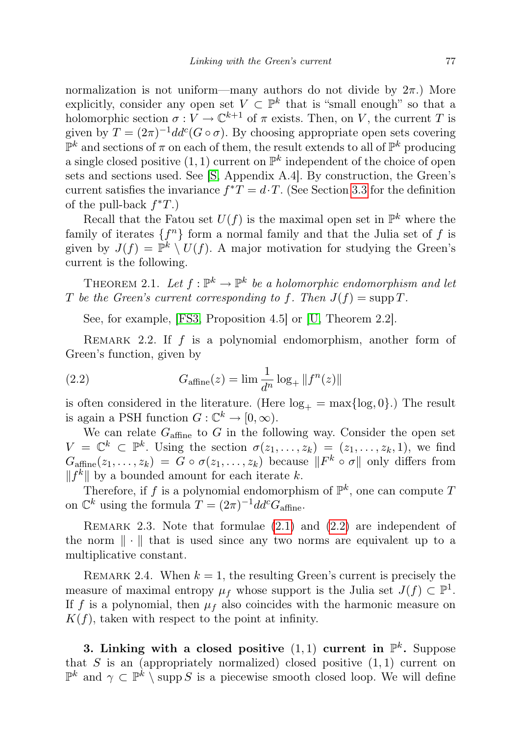normalization is not uniform—many authors do not divide by  $2\pi$ .) More explicitly, consider any open set  $V \subset \mathbb{P}^k$  that is "small enough" so that a holomorphic section  $\sigma: V \to \mathbb{C}^{k+1}$  of  $\pi$  exists. Then, on V, the current T is given by  $T = (2\pi)^{-1}dd^c(G \circ \sigma)$ . By choosing appropriate open sets covering  $\mathbb{P}^k$  and sections of  $\pi$  on each of them, the result extends to all of  $\mathbb{P}^k$  producing a single closed positive  $(1, 1)$  current on  $\mathbb{P}^k$  independent of the choice of open sets and sections used. See [\[S,](#page-25-2) Appendix A.4]. By construction, the Green's current satisfies the invariance  $f^*T = d \cdot T$ . (See Section [3.3](#page-7-0) for the definition of the pull-back  $f^*T$ .)

Recall that the Fatou set  $U(f)$  is the maximal open set in  $\mathbb{P}^k$  where the family of iterates  $\{f^n\}$  form a normal family and that the Julia set of f is given by  $J(f) = \mathbb{P}^k \setminus U(f)$ . A major motivation for studying the Green's current is the following.

THEOREM 2.1. Let  $f: \mathbb{P}^k \to \mathbb{P}^k$  be a holomorphic endomorphism and let T be the Green's current corresponding to f. Then  $J(f) = \text{supp } T$ .

See, for example, [\[FS3,](#page-24-0) Proposition 4.5] or [\[U,](#page-25-0) Theorem 2.2].

<span id="page-4-1"></span>REMARK 2.2. If  $f$  is a polynomial endomorphism, another form of Green's function, given by

(2.2) 
$$
G_{\text{affine}}(z) = \lim \frac{1}{d^n} \log_+ ||f^n(z)||
$$

is often considered in the literature. (Here  $log_+ = max\{log, 0\}$ .) The result is again a PSH function  $G: \mathbb{C}^k \to [0, \infty)$ .

We can relate  $G_{\text{affine}}$  to G in the following way. Consider the open set  $V = \mathbb{C}^k \subset \mathbb{P}^k$ . Using the section  $\sigma(z_1, \ldots, z_k) = (z_1, \ldots, z_k, 1)$ , we find  $G_{\text{affine}}(z_1,\ldots,z_k) = G \circ \sigma(z_1,\ldots,z_k)$  because  $||F^k \circ \sigma||$  only differs from  $||f^k||$  by a bounded amount for each iterate k.

Therefore, if f is a polynomial endomorphism of  $\mathbb{P}^k$ , one can compute T on  $\mathbb{C}^k$  using the formula  $T = (2\pi)^{-1} d d^c G_{\text{affine}}$ .

REMARK 2.3. Note that formulae  $(2.1)$  and  $(2.2)$  are independent of the norm  $\|\cdot\|$  that is used since any two norms are equivalent up to a multiplicative constant.

<span id="page-4-2"></span>REMARK 2.4. When  $k = 1$ , the resulting Green's current is precisely the measure of maximal entropy  $\mu_f$  whose support is the Julia set  $J(f) \subset \mathbb{P}^1$ . If f is a polynomial, then  $\mu_f$  also coincides with the harmonic measure on  $K(f)$ , taken with respect to the point at infinity.

<span id="page-4-0"></span>3. Linking with a closed positive  $(1,1)$  current in  $\mathbb{P}^k$ . Suppose that S is an (appropriately normalized) closed positive  $(1, 1)$  current on  $\mathbb{P}^k$  and  $\gamma \subset \mathbb{P}^k \setminus \text{supp } S$  is a piecewise smooth closed loop. We will define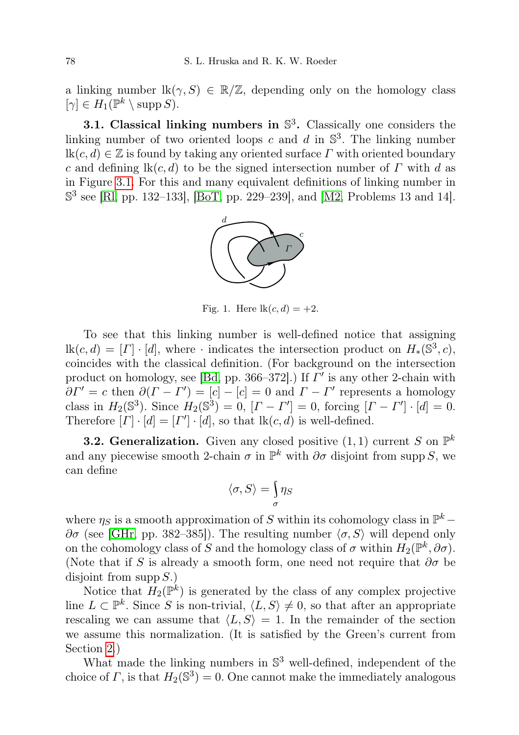a linking number  $lk(\gamma, S) \in \mathbb{R}/\mathbb{Z}$ , depending only on the homology class  $[\gamma] \in H_1(\mathbb{P}^k \setminus \text{supp } S).$ 

<span id="page-5-0"></span>**3.1. Classical linking numbers in**  $\mathbb{S}^3$ **.** Classically one considers the linking number of two oriented loops c and d in  $\mathbb{S}^3$ . The linking number  $lk(c, d) \in \mathbb{Z}$  is found by taking any oriented surface  $\Gamma$  with oriented boundary c and defining  $\text{lk}(c, d)$  to be the signed intersection number of  $\Gamma$  with d as in Figure [3.1.](#page-5-0) For this and many equivalent definitions of linking number in S 3 see [\[Rl,](#page-25-3) pp. 132–133], [\[BoT,](#page-24-4) pp. 229–239], and [\[M2,](#page-25-4) Problems 13 and 14].



Fig. 1. Here  $\text{lk}(c, d) = +2$ .

To see that this linking number is well-defined notice that assigning  $\text{lk}(c, d) = [I] \cdot [d]$ , where  $\cdot$  indicates the intersection product on  $H_*(\mathbb{S}^3, c)$ , coincides with the classical definition. (For background on the intersection product on homology, see [\[Bd,](#page-24-5) pp. 366–372].) If  $\Gamma'$  is any other 2-chain with  $\partial \Gamma' = c$  then  $\partial (\Gamma - \Gamma') = [c] - [c] = 0$  and  $\Gamma - \Gamma'$  represents a homology class in  $H_2(\mathbb{S}^3)$ . Since  $H_2(\mathbb{S}^3) = 0$ ,  $[I - I'] = 0$ , forcing  $[I - I'] \cdot [d] = 0$ . Therefore  $[I] \cdot [d] = [I'] \cdot [d]$ , so that  $\text{lk}(c, d)$  is well-defined.

**3.2. Generalization.** Given any closed positive  $(1, 1)$  current S on  $\mathbb{P}^k$ and any piecewise smooth 2-chain  $\sigma$  in  $\mathbb{P}^k$  with  $\partial \sigma$  disjoint from supp S, we can define

$$
\langle \sigma, S \rangle = \int\limits_{\sigma} \eta_S
$$

where  $\eta_S$  is a smooth approximation of S within its cohomology class in  $\mathbb{P}^k$  –  $∂σ$  (see [\[GHr,](#page-24-6) pp. 382–385]). The resulting number  $\langle σ, S \rangle$  will depend only on the cohomology class of S and the homology class of  $\sigma$  within  $H_2(\mathbb{P}^k, \partial \sigma)$ . (Note that if S is already a smooth form, one need not require that  $\partial \sigma$  be disjoint from supp  $S$ .)

Notice that  $H_2(\mathbb{P}^k)$  is generated by the class of any complex projective line  $L \subset \mathbb{P}^k$ . Since S is non-trivial,  $\langle L, S \rangle \neq 0$ , so that after an appropriate rescaling we can assume that  $\langle L, S \rangle = 1$ . In the remainder of the section we assume this normalization. (It is satisfied by the Green's current from Section [2.](#page-3-0))

What made the linking numbers in  $\mathbb{S}^3$  well-defined, independent of the choice of  $\Gamma$ , is that  $H_2(\mathbb{S}^3) = 0$ . One cannot make the immediately analogous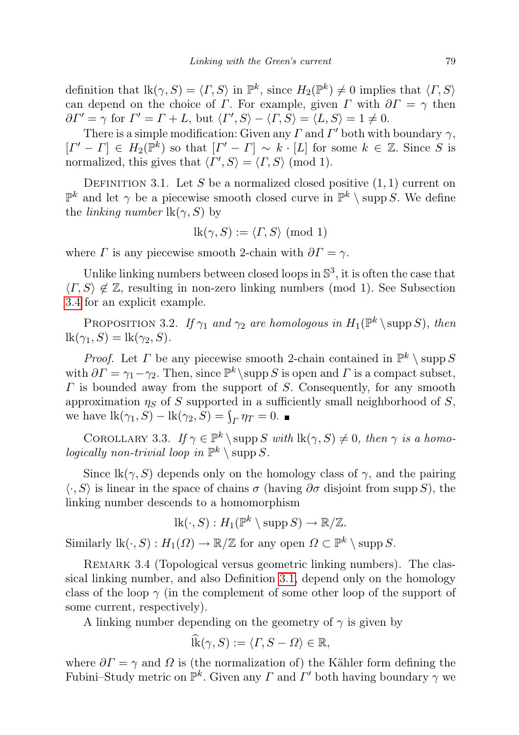definition that  $\text{lk}(\gamma, S) = \langle \Gamma, S \rangle$  in  $\mathbb{P}^k$ , since  $H_2(\mathbb{P}^k) \neq 0$  implies that  $\langle \Gamma, S \rangle$ can depend on the choice of Γ. For example, given Γ with  $\partial \Gamma = \gamma$  then  $\partial \Gamma' = \gamma$  for  $\Gamma' = \Gamma + L$ , but  $\langle \Gamma', S \rangle - \langle \Gamma, S \rangle = \langle L, S \rangle = 1 \neq 0$ .

There is a simple modification: Given any  $\Gamma$  and  $\Gamma'$  both with boundary  $\gamma$ ,  $[I' - I] \in H_2(\mathbb{P}^k)$  so that  $[I' - I] \sim k \cdot [L]$  for some  $k \in \mathbb{Z}$ . Since S is normalized, this gives that  $\langle \Gamma', S \rangle = \langle \Gamma, S \rangle \pmod{1}$ .

<span id="page-6-1"></span>DEFINITION 3.1. Let S be a normalized closed positive  $(1, 1)$  current on  $\mathbb{P}^k$  and let  $\gamma$  be a piecewise smooth closed curve in  $\mathbb{P}^k \setminus \text{supp } S$ . We define the *linking number*  $lk(\gamma, S)$  by

$$
lk(\gamma, S) := \langle \Gamma, S \rangle \pmod{1}
$$

where  $\Gamma$  is any piecewise smooth 2-chain with  $\partial \Gamma = \gamma$ .

Unlike linking numbers between closed loops in  $\mathbb{S}^3$ , it is often the case that  $\langle \Gamma, S \rangle \notin \mathbb{Z}$ , resulting in non-zero linking numbers (mod 1). See Subsection [3.4](#page-8-1) for an explicit example.

<span id="page-6-0"></span>PROPOSITION 3.2. If  $\gamma_1$  and  $\gamma_2$  are homologous in  $H_1(\mathbb{P}^k \setminus \text{supp } S)$ , then  $lk(\gamma_1, S) = lk(\gamma_2, S).$ 

*Proof.* Let  $\Gamma$  be any piecewise smooth 2-chain contained in  $\mathbb{P}^k \setminus \text{supp } S$ with  $\partial \Gamma = \gamma_1 - \gamma_2$ . Then, since  $\mathbb{P}^k \setminus \text{supp } S$  is open and  $\Gamma$  is a compact subset,  $\Gamma$  is bounded away from the support of  $S$ . Consequently, for any smooth approximation  $\eta_S$  of S supported in a sufficiently small neighborhood of S, we have  $\text{lk}(\gamma_1, S) - \text{lk}(\gamma_2, S) = \int_{\Gamma} \eta_T = 0.$ 

<span id="page-6-2"></span>COROLLARY 3.3. If  $\gamma \in \mathbb{P}^k \setminus \text{supp } S \text{ with } \text{lk}(\gamma, S) \neq 0, \text{ then } \gamma \text{ is a homomorphism.}$ logically non-trivial loop in  $\mathbb{P}^k \setminus \mathrm{supp} S$ .

Since  $\text{lk}(\gamma, S)$  depends only on the homology class of  $\gamma$ , and the pairing  $\langle \cdot, S \rangle$  is linear in the space of chains  $\sigma$  (having  $\partial \sigma$  disjoint from supp S), the linking number descends to a homomorphism

$$
lk(\cdot, S) : H_1(\mathbb{P}^k \setminus \operatorname{supp} S) \to \mathbb{R}/\mathbb{Z}.
$$

Similarly  $\text{lk}(\cdot, S) : H_1(\Omega) \to \mathbb{R}/\mathbb{Z}$  for any open  $\Omega \subset \mathbb{P}^k \setminus \text{supp } S$ .

REMARK 3.4 (Topological versus geometric linking numbers). The classical linking number, and also Definition [3.1,](#page-6-1) depend only on the homology class of the loop  $\gamma$  (in the complement of some other loop of the support of some current, respectively).

A linking number depending on the geometry of  $\gamma$  is given by

$$
\widehat{\text{lk}}(\gamma, S) := \langle \Gamma, S - \Omega \rangle \in \mathbb{R},
$$

where  $\partial \Gamma = \gamma$  and  $\Omega$  is (the normalization of) the Kähler form defining the Fubini–Study metric on  $\mathbb{P}^k$ . Given any  $\Gamma$  and  $\Gamma'$  both having boundary  $\gamma$  we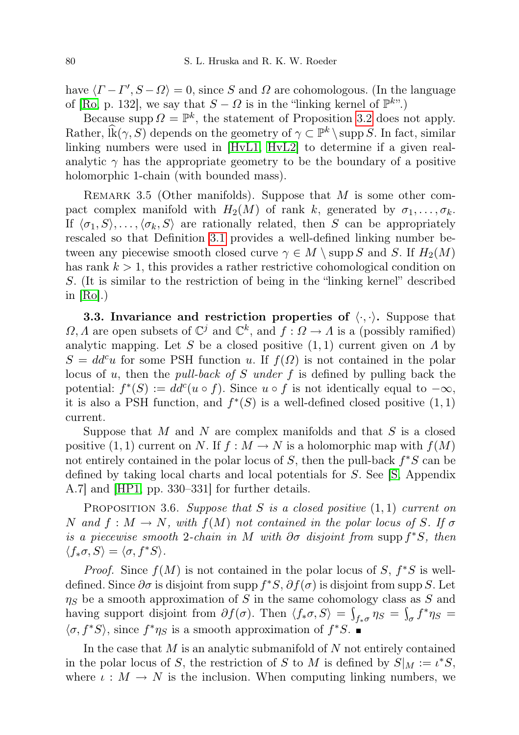have  $\langle \Gamma - \Gamma', S - \Omega \rangle = 0$ , since S and  $\Omega$  are cohomologous. (In the language of [\[Ro,](#page-25-1) p. 132], we say that  $S - \Omega$  is in the "linking kernel of  $\mathbb{P}^{k}$ ".)

Because supp  $\Omega = \mathbb{P}^k$ , the statement of Proposition [3.2](#page-6-0) does not apply. Rather,  $\widehat{lk}(\gamma, S)$  depends on the geometry of  $\gamma \subset \mathbb{P}^k \setminus \text{supp } S$ . In fact, similar linking numbers were used in [\[HvL1,](#page-24-7) [HvL2\]](#page-24-8) to determine if a given realanalytic  $\gamma$  has the appropriate geometry to be the boundary of a positive holomorphic 1-chain (with bounded mass).

REMARK 3.5 (Other manifolds). Suppose that  $M$  is some other compact complex manifold with  $H_2(M)$  of rank k, generated by  $\sigma_1, \ldots, \sigma_k$ . If  $\langle \sigma_1, S \rangle, \ldots, \langle \sigma_k, S \rangle$  are rationally related, then S can be appropriately rescaled so that Definition [3.1](#page-6-1) provides a well-defined linking number between any piecewise smooth closed curve  $\gamma \in M \setminus \text{supp } S$  and S. If  $H_2(M)$ has rank  $k > 1$ , this provides a rather restrictive cohomological condition on S. (It is similar to the restriction of being in the "linking kernel" described in  $|Ro|$ .)

<span id="page-7-0"></span>**3.3. Invariance and restriction properties of**  $\langle \cdot, \cdot \rangle$ **.** Suppose that  $\Omega, \Lambda$  are open subsets of  $\mathbb{C}^j$  and  $\mathbb{C}^k$ , and  $f: \Omega \to \Lambda$  is a (possibly ramified) analytic mapping. Let S be a closed positive  $(1, 1)$  current given on  $\Lambda$  by  $S = dd^c u$  for some PSH function u. If  $f(\Omega)$  is not contained in the polar locus of u, then the *pull-back of S under f* is defined by pulling back the potential:  $f^*(S) := dd^c(u \circ f)$ . Since  $u \circ f$  is not identically equal to  $-\infty$ , it is also a PSH function, and  $f^*(S)$  is a well-defined closed positive  $(1, 1)$ current.

Suppose that  $M$  and  $N$  are complex manifolds and that  $S$  is a closed positive (1, 1) current on N. If  $f : M \to N$  is a holomorphic map with  $f(M)$ not entirely contained in the polar locus of  $S$ , then the pull-back  $f^*S$  can be defined by taking local charts and local potentials for S. See [\[S,](#page-25-2) Appendix A.7] and [\[HP1,](#page-24-1) pp. 330–331] for further details.

<span id="page-7-1"></span>PROPOSITION 3.6. Suppose that S is a closed positive  $(1,1)$  current on N and  $f : M \to N$ , with  $f(M)$  not contained in the polar locus of S. If  $\sigma$ is a piecewise smooth 2-chain in M with  $\partial \sigma$  disjoint from supp  $f^*S$ , then  $\langle f_*\sigma, S\rangle = \langle \sigma, f^*S\rangle.$ 

*Proof.* Since  $f(M)$  is not contained in the polar locus of S,  $f^*S$  is welldefined. Since  $\partial \sigma$  is disjoint from supp  $f^*S$ ,  $\partial f(\sigma)$  is disjoint from supp S. Let  $\eta_S$  be a smooth approximation of S in the same cohomology class as S and having support disjoint from  $\partial f(\sigma)$ . Then  $\langle f_*\sigma, S \rangle = \int_{f_*\sigma} \eta_S = \int_{\sigma} f^* \eta_S =$  $\langle \sigma, f^*S \rangle$ , since  $f^*\eta_S$  is a smooth approximation of  $f^*S$ .

In the case that  $M$  is an analytic submanifold of  $N$  not entirely contained in the polar locus of S, the restriction of S to M is defined by  $S|_M := \iota^* S$ , where  $\iota : M \to N$  is the inclusion. When computing linking numbers, we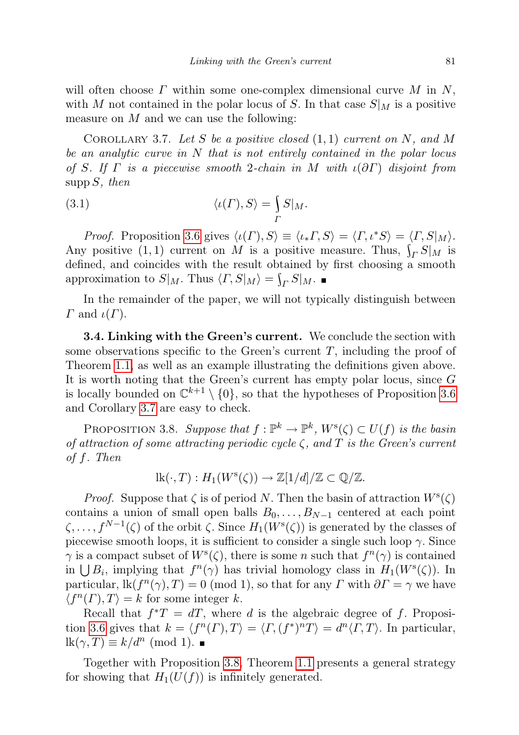will often choose  $\Gamma$  within some one-complex dimensional curve  $M$  in  $N$ , with M not contained in the polar locus of S. In that case  $S|_M$  is a positive measure on  $M$  and we can use the following:

<span id="page-8-2"></span>COROLLARY 3.7. Let S be a positive closed  $(1,1)$  current on N, and M be an analytic curve in N that is not entirely contained in the polar locus of S. If  $\Gamma$  is a piecewise smooth 2-chain in M with  $\iota(\partial \Gamma)$  disjoint from  $\text{supp } S$ , then

(3.1) 
$$
\langle \iota(\Gamma), S \rangle = \int_{\Gamma} S|_{M}.
$$

*Proof.* Proposition [3.6](#page-7-1) gives  $\langle \iota(\Gamma), S \rangle \equiv \langle \iota_* \Gamma, S \rangle = \langle \Gamma, \iota^* S \rangle = \langle \Gamma, S | \mathcal{M} \rangle$ . Any positive  $(1, 1)$  current on M is a positive measure. Thus,  $\int_{\Gamma} S|M$  is defined, and coincides with the result obtained by first choosing a smooth approximation to  $S|_M$ . Thus  $\langle \Gamma, S|_M \rangle = \int_{\Gamma} S|_M$ .

In the remainder of the paper, we will not typically distinguish between  $\Gamma$  and  $\iota(\Gamma)$ .

<span id="page-8-1"></span>3.4. Linking with the Green's current. We conclude the section with some observations specific to the Green's current  $T$ , including the proof of Theorem [1.1,](#page-1-0) as well as an example illustrating the definitions given above. It is worth noting that the Green's current has empty polar locus, since G is locally bounded on  $\mathbb{C}^{k+1} \setminus \{0\}$ , so that the hypotheses of Proposition [3.6](#page-7-1) and Corollary [3.7](#page-8-2) are easy to check.

<span id="page-8-0"></span>PROPOSITION 3.8. Suppose that  $f: \mathbb{P}^k \to \mathbb{P}^k$ ,  $W^s(\zeta) \subset U(f)$  is the basin of attraction of some attracting periodic cycle  $\zeta$ , and  $T$  is the Green's current of f. Then

$$
lk(\cdot, T) : H_1(W^s(\zeta)) \to \mathbb{Z}[1/d]/\mathbb{Z} \subset \mathbb{Q}/\mathbb{Z}.
$$

*Proof.* Suppose that  $\zeta$  is of period N. Then the basin of attraction  $W^s(\zeta)$ contains a union of small open balls  $B_0, \ldots, B_{N-1}$  centered at each point  $\zeta, \ldots, f^{N-1}(\zeta)$  of the orbit  $\zeta$ . Since  $H_1(W^s(\zeta))$  is generated by the classes of piecewise smooth loops, it is sufficient to consider a single such loop  $\gamma$ . Since  $\gamma$  is a compact subset of  $W^s(\zeta)$ , there is some n such that  $f^n(\gamma)$  is contained in  $\bigcup B_i$ , implying that  $f^n(\gamma)$  has trivial homology class in  $H_1(W^s(\zeta))$ . In particular,  $\text{lk}(f^{n}(\gamma), T) = 0 \pmod{1}$ , so that for any  $\Gamma$  with  $\partial \Gamma = \gamma$  we have  $\langle f^n(\Gamma), T \rangle = k$  for some integer k.

Recall that  $f^*T = dT$ , where d is the algebraic degree of f. Proposi-tion [3.6](#page-7-1) gives that  $k = \langle f^n(\Gamma), T \rangle = \langle \Gamma, (f^*)^n T \rangle = d^n \langle \Gamma, T \rangle$ . In particular,  $lk(\gamma, T) \equiv k/d^n \pmod{1}.$ 

Together with Proposition [3.8,](#page-8-0) Theorem [1.1](#page-1-0) presents a general strategy for showing that  $H_1(U(f))$  is infinitely generated.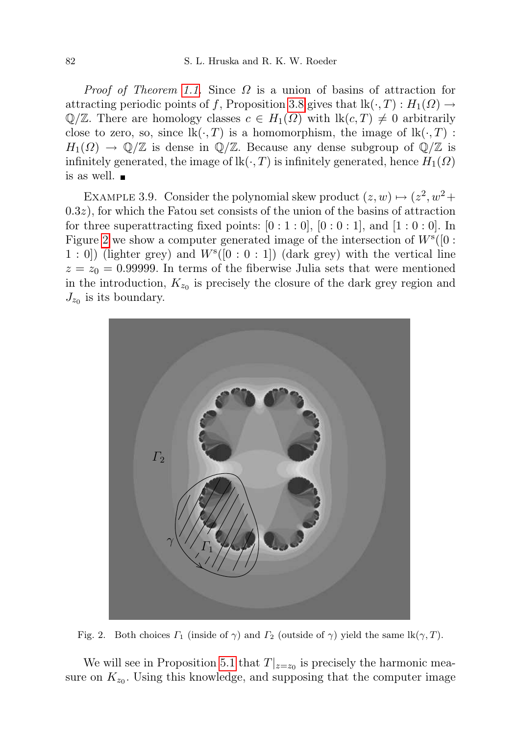*Proof of Theorem [1.1.](#page-1-0)* Since  $\Omega$  is a union of basins of attraction for attracting periodic points of f, Proposition [3.8](#page-8-0) gives that  $\text{lk}(\cdot, T) : H_1(\Omega) \to$  $\mathbb{Q}/\mathbb{Z}$ . There are homology classes  $c \in H_1(\Omega)$  with  $\text{lk}(c,T) \neq 0$  arbitrarily close to zero, so, since  $\text{lk}(\cdot, T)$  is a homomorphism, the image of  $\text{lk}(\cdot, T)$ :  $H_1(\Omega) \to \mathbb{Q}/\mathbb{Z}$  is dense in  $\mathbb{Q}/\mathbb{Z}$ . Because any dense subgroup of  $\mathbb{Q}/\mathbb{Z}$  is infinitely generated, the image of  $lk(\cdot, T)$  is infinitely generated, hence  $H_1(\Omega)$ is as well.

EXAMPLE 3.9. Consider the polynomial skew product  $(z, w) \mapsto (z^2, w^2 +$  $(0.3z)$ , for which the Fatou set consists of the union of the basins of attraction for three superattracting fixed points:  $[0:1:0]$ ,  $[0:0:1]$ , and  $[1:0:0]$ . In Figure [2](#page-9-0) we show a computer generated image of the intersection of  $W^s([0:$  $(1: 0]$ ) (lighter grey) and  $W^{s}([0:0:1])$  (dark grey) with the vertical line  $z = z_0 = 0.99999$ . In terms of the fiberwise Julia sets that were mentioned in the introduction,  $K_{z_0}$  is precisely the closure of the dark grey region and  $J_{z_0}$  is its boundary.



Fig. 2. Both choices  $\Gamma_1$  (inside of  $\gamma$ ) and  $\Gamma_2$  (outside of  $\gamma$ ) yield the same lk( $\gamma$ , T).

<span id="page-9-0"></span>We will see in Proposition [5.1](#page-14-0) that  $T|_{z=z_0}$  is precisely the harmonic measure on  $K_{z_0}$ . Using this knowledge, and supposing that the computer image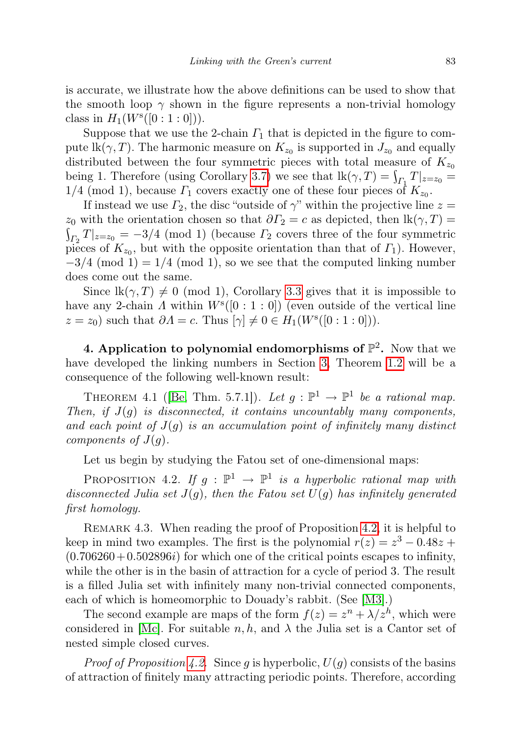is accurate, we illustrate how the above definitions can be used to show that the smooth loop  $\gamma$  shown in the figure represents a non-trivial homology class in  $H_1(W^s([0:1:0]))$ .

Suppose that we use the 2-chain  $\Gamma_1$  that is depicted in the figure to compute  $\text{lk}(\gamma, T)$ . The harmonic measure on  $K_{z_0}$  is supported in  $J_{z_0}$  and equally distributed between the four symmetric pieces with total measure of  $K_{z_0}$ being 1. Therefore (using Corollary [3.7\)](#page-8-2) we see that  $\text{lk}(\gamma, T) = \int_{\Gamma_1} T|_{z=z_0} =$  $1/4 \pmod{1}$ , because  $\Gamma_1$  covers exactly one of these four pieces of  $K_{z_0}$ .

If instead we use  $\Gamma_2$ , the disc "outside of  $\gamma$ " within the projective line  $z =$  $z_0$  with the orientation chosen so that  $\partial \Gamma_2 = c$  as depicted, then  $\text{lk}(\gamma, T) =$  $\int_{\Gamma_2} T|_{z=z_0} = -3/4$  (mod 1) (because  $\Gamma_2$  covers three of the four symmetric pieces of  $K_{z_0}$ , but with the opposite orientation than that of  $\Gamma_1$ ). However,  $-3/4$  (mod 1) = 1/4 (mod 1), so we see that the computed linking number does come out the same.

Since  $\text{lk}(\gamma, T) \neq 0 \pmod{1}$ , Corollary [3.3](#page-6-2) gives that it is impossible to have any 2-chain  $\Lambda$  within  $W^{s}([0:1:0])$  (even outside of the vertical line  $z = z_0$ ) such that  $\partial \Lambda = c$ . Thus  $[\gamma] \neq 0 \in H_1(W^s([0:1:0]))$ .

<span id="page-10-0"></span>4. Application to polynomial endomorphisms of  $\mathbb{P}^2$ . Now that we have developed the linking numbers in Section [3,](#page-4-0) Theorem [1.2](#page-2-1) will be a consequence of the following well-known result:

<span id="page-10-2"></span>THEOREM 4.1 ([\[Be,](#page-23-1) Thm. 5.7.1]). Let  $g: \mathbb{P}^1 \to \mathbb{P}^1$  be a rational map. Then, if  $J(q)$  is disconnected, it contains uncountably many components, and each point of  $J(q)$  is an accumulation point of infinitely many distinct components of  $J(g)$ .

Let us begin by studying the Fatou set of one-dimensional maps:

<span id="page-10-1"></span>PROPOSITION 4.2. If  $g : \mathbb{P}^1 \to \mathbb{P}^1$  is a hyperbolic rational map with disconnected Julia set  $J(g)$ , then the Fatou set  $U(g)$  has infinitely generated first homology.

<span id="page-10-3"></span>REMARK 4.3. When reading the proof of Proposition [4.2,](#page-10-1) it is helpful to keep in mind two examples. The first is the polynomial  $r(z) = z^3 - 0.48z +$  $(0.706260 + 0.502896i)$  for which one of the critical points escapes to infinity, while the other is in the basin of attraction for a cycle of period 3. The result is a filled Julia set with infinitely many non-trivial connected components, each of which is homeomorphic to Douady's rabbit. (See [\[M3\]](#page-25-5).)

The second example are maps of the form  $f(z) = z^n + \lambda/z^h$ , which were considered in  $\text{Mc}$ . For suitable  $n, h$ , and  $\lambda$  the Julia set is a Cantor set of nested simple closed curves.

*Proof of Proposition [4.2.](#page-10-1)* Since g is hyperbolic,  $U(q)$  consists of the basins of attraction of finitely many attracting periodic points. Therefore, according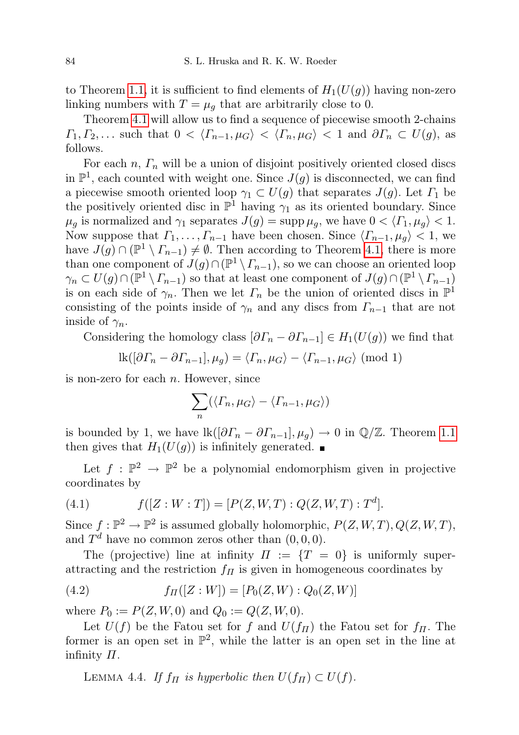to Theorem [1.1,](#page-1-0) it is sufficient to find elements of  $H_1(U(g))$  having non-zero linking numbers with  $T = \mu_q$  that are arbitrarily close to 0.

Theorem [4.1](#page-10-2) will allow us to find a sequence of piecewise smooth 2-chains  $\Gamma_1, \Gamma_2, \ldots$  such that  $0 < \langle \Gamma_{n-1}, \mu_G \rangle < \langle \Gamma_n, \mu_G \rangle < 1$  and  $\partial \Gamma_n \subset U(g)$ , as follows.

For each  $n, \Gamma_n$  will be a union of disjoint positively oriented closed discs in  $\mathbb{P}^1$ , each counted with weight one. Since  $J(g)$  is disconnected, we can find a piecewise smooth oriented loop  $\gamma_1 \subset U(g)$  that separates  $J(g)$ . Let  $\Gamma_1$  be the positively oriented disc in  $\mathbb{P}^1$  having  $\gamma_1$  as its oriented boundary. Since  $\mu_g$  is normalized and  $\gamma_1$  separates  $J(g) = \sup p \mu_g$ , we have  $0 < \langle \Gamma_1, \mu_g \rangle < 1$ . Now suppose that  $\Gamma_1, \ldots, \Gamma_{n-1}$  have been chosen. Since  $\langle \Gamma_{n-1}, \mu_q \rangle < 1$ , we have  $J(g) \cap (\mathbb{P}^1 \setminus \Gamma_{n-1}) \neq \emptyset$ . Then according to Theorem [4.1,](#page-10-2) there is more than one component of  $J(g) \cap (\mathbb{P}^1 \setminus \Gamma_{n-1})$ , so we can choose an oriented loop  $\gamma_n \subset U(g) \cap (\mathbb{P}^1 \setminus \Gamma_{n-1})$  so that at least one component of  $J(g) \cap (\mathbb{P}^1 \setminus \Gamma_{n-1})$ is on each side of  $\gamma_n$ . Then we let  $\Gamma_n$  be the union of oriented discs in  $\mathbb{P}^1$ consisting of the points inside of  $\gamma_n$  and any discs from  $\Gamma_{n-1}$  that are not inside of  $\gamma_n$ .

Considering the homology class  $[\partial \Gamma_n - \partial \Gamma_{n-1}] \in H_1(U(g))$  we find that

$$
lk([\partial \Gamma_n - \partial \Gamma_{n-1}], \mu_g) = \langle \Gamma_n, \mu_G \rangle - \langle \Gamma_{n-1}, \mu_G \rangle \pmod{1}
$$

is non-zero for each  $n$ . However, since

$$
\sum_{n} (\langle \Gamma_n, \mu_G \rangle - \langle \Gamma_{n-1}, \mu_G \rangle)
$$

is bounded by 1, we have  $\text{lk}([\partial \Gamma_n - \partial \Gamma_{n-1}], \mu_g) \to 0$  in  $\mathbb{Q}/\mathbb{Z}$ . Theorem [1.1](#page-1-0) then gives that  $H_1(U(g))$  is infinitely generated.

Let  $f : \mathbb{P}^2 \to \mathbb{P}^2$  be a polynomial endomorphism given in projective coordinates by

(4.1) 
$$
f([Z:W:T]) = [P(Z,W,T):Q(Z,W,T):T^d].
$$

Since  $f : \mathbb{P}^2 \to \mathbb{P}^2$  is assumed globally holomorphic,  $P(Z, W, T), Q(Z, W, T)$ , and  $T<sup>d</sup>$  have no common zeros other than  $(0,0,0)$ .

The (projective) line at infinity  $\Pi := \{T = 0\}$  is uniformly superattracting and the restriction  $f_{\Pi}$  is given in homogeneous coordinates by

(4.2) 
$$
f_{\Pi}([Z:W]) = [P_0(Z,W):Q_0(Z,W)]
$$

where  $P_0 := P(Z, W, 0)$  and  $Q_0 := Q(Z, W, 0)$ .

Let  $U(f)$  be the Fatou set for f and  $U(f_{\Pi})$  the Fatou set for  $f_{\Pi}$ . The former is an open set in  $\mathbb{P}^2$ , while the latter is an open set in the line at infinity  $\Pi$ .

<span id="page-11-0"></span>LEMMA 4.4. If  $f_{\Pi}$  is hyperbolic then  $U(f_{\Pi}) \subset U(f)$ .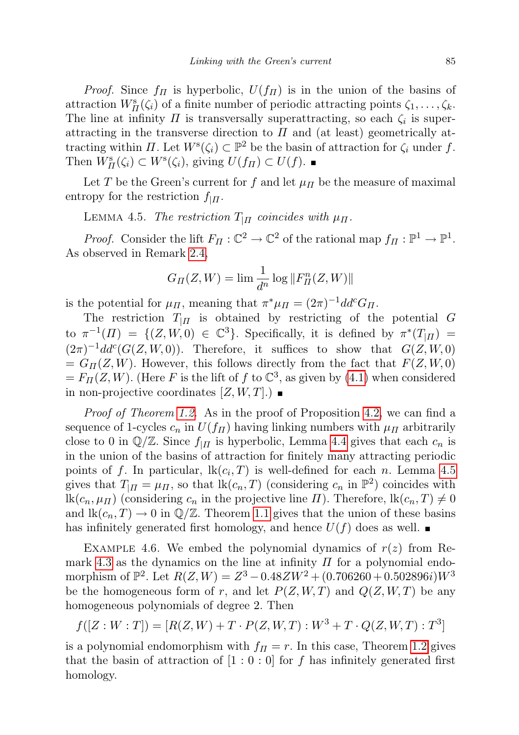*Proof.* Since  $f_{\Pi}$  is hyperbolic,  $U(f_{\Pi})$  is in the union of the basins of attraction  $W_H^s(\zeta_i)$  of a finite number of periodic attracting points  $\zeta_1, \ldots, \zeta_k$ . The line at infinity  $\Pi$  is transversally superattracting, so each  $\zeta_i$  is superattracting in the transverse direction to  $\Pi$  and (at least) geometrically attracting within  $\Pi$ . Let  $W^s(\zeta_i) \subset \mathbb{P}^2$  be the basin of attraction for  $\zeta_i$  under f. Then  $W^s_{\Pi}(\zeta_i) \subset W^s(\zeta_i)$ , giving  $U(f_{\Pi}) \subset U(f)$ .

Let T be the Green's current for f and let  $\mu$ <sub>II</sub> be the measure of maximal entropy for the restriction  $f_{\vert \Pi}$ .

<span id="page-12-1"></span>LEMMA 4.5. The restriction  $T_{\vert \Pi}$  coincides with  $\mu_{\Pi}$ .

*Proof.* Consider the lift  $F_{\Pi}: \mathbb{C}^2 \to \mathbb{C}^2$  of the rational map  $f_{\Pi}: \mathbb{P}^1 \to \mathbb{P}^1$ . As observed in Remark [2.4,](#page-4-2)

$$
G_{\varPi}(Z,W)=\lim \frac{1}{d^n}\log \Vert F_{\varPi}^n(Z,W)\Vert
$$

is the potential for  $\mu_{\Pi}$ , meaning that  $\pi^*\mu_{\Pi} = (2\pi)^{-1}dd^cG_{\Pi}$ .

The restriction  $T_{\parallel\Pi}$  is obtained by restricting of the potential G to  $\pi^{-1}(H) = \{ (Z, W, 0) \in \mathbb{C}^3 \}$ . Specifically, it is defined by  $\pi^*(T_{|H}) =$  $(2\pi)^{-1}dd^c(G(Z, W, 0)).$  Therefore, it suffices to show that  $G(Z, W, 0)$  $= G_{\Pi}(Z, W)$ . However, this follows directly from the fact that  $F(Z, W, 0)$  $= F_{\Pi}(Z, W)$ . (Here F is the lift of f to  $\mathbb{C}^3$ , as given by [\(4.1\)](#page-10-3) when considered in non-projective coordinates  $[Z, W, T]$ .

Proof of Theorem [1.2.](#page-2-1) As in the proof of Proposition [4.2,](#page-10-1) we can find a sequence of 1-cycles  $c_n$  in  $U(f_{\Pi})$  having linking numbers with  $\mu_{\Pi}$  arbitrarily close to 0 in  $\mathbb{Q}/\mathbb{Z}$ . Since  $f_{\vert \Pi}$  is hyperbolic, Lemma [4.4](#page-11-0) gives that each  $c_n$  is in the union of the basins of attraction for finitely many attracting periodic points of f. In particular,  $lk(c_i, T)$  is well-defined for each n. Lemma [4.5](#page-12-1) gives that  $T_{\mid \Pi} = \mu_{\Pi}$ , so that  $\text{lk}(c_n, T)$  (considering  $c_n$  in  $\mathbb{P}^2$ ) coincides with lk $(c_n, \mu_I)$  (considering  $c_n$  in the projective line  $\Pi$ ). Therefore, lk $(c_n, T) \neq 0$ and  $\text{lk}(c_n, T) \to 0$  in  $\mathbb{Q}/\mathbb{Z}$ . Theorem [1.1](#page-1-0) gives that the union of these basins has infinitely generated first homology, and hence  $U(f)$  does as well.

<span id="page-12-0"></span>EXAMPLE 4.6. We embed the polynomial dynamics of  $r(z)$  from Re-mark [4.3](#page-10-3) as the dynamics on the line at infinity  $\Pi$  for a polynomial endomorphism of  $\mathbb{P}^2$ . Let  $R(Z, W) = Z^3 - 0.48ZW^2 + (0.706260 + 0.502896i)W^3$ be the homogeneous form of r, and let  $P(Z, W, T)$  and  $Q(Z, W, T)$  be any homogeneous polynomials of degree 2. Then

$$
f([Z:W:T]) = [R(Z,W) + T \cdot P(Z,W,T) : W^3 + T \cdot Q(Z,W,T) : T^3]
$$

is a polynomial endomorphism with  $f<sub>II</sub> = r$ . In this case, Theorem [1.2](#page-2-1) gives that the basin of attraction of  $[1:0:0]$  for f has infinitely generated first homology.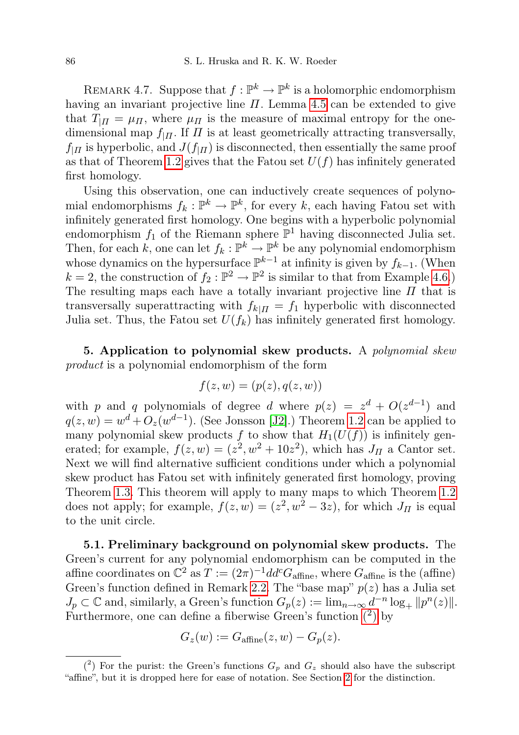REMARK 4.7. Suppose that  $f: \mathbb{P}^k \to \mathbb{P}^k$  is a holomorphic endomorphism having an invariant projective line  $\Pi$ . Lemma [4.5](#page-12-1) can be extended to give that  $T_{\text{III}} = \mu_{\text{II}}$ , where  $\mu_{\text{II}}$  is the measure of maximal entropy for the onedimensional map  $f_{\parallel II}$ . If  $\Pi$  is at least geometrically attracting transversally,  $f_{\parallel\Pi}$  is hyperbolic, and  $J(f_{\parallel\Pi})$  is disconnected, then essentially the same proof as that of Theorem [1.2](#page-2-1) gives that the Fatou set  $U(f)$  has infinitely generated first homology.

Using this observation, one can inductively create sequences of polynomial endomorphisms  $f_k: \mathbb{P}^k \to \mathbb{P}^k$ , for every k, each having Fatou set with infinitely generated first homology. One begins with a hyperbolic polynomial endomorphism  $f_1$  of the Riemann sphere  $\mathbb{P}^1$  having disconnected Julia set. Then, for each k, one can let  $f_k: \mathbb{P}^k \to \mathbb{P}^k$  be any polynomial endomorphism whose dynamics on the hypersurface  $\mathbb{P}^{k-1}$  at infinity is given by  $f_{k-1}$ . (When  $k = 2$ , the construction of  $f_2 : \mathbb{P}^2 \to \mathbb{P}^2$  is similar to that from Example [4.6.](#page-12-0)) The resulting maps each have a totally invariant projective line  $\Pi$  that is transversally superattracting with  $f_{k|H} = f_1$  hyperbolic with disconnected Julia set. Thus, the Fatou set  $U(f_k)$  has infinitely generated first homology.

<span id="page-13-0"></span>5. Application to polynomial skew products. A polynomial skew product is a polynomial endomorphism of the form

$$
f(z, w) = (p(z), q(z, w))
$$

with p and q polynomials of degree d where  $p(z) = z<sup>d</sup> + O(z<sup>d-1</sup>)$  and  $q(z, w) = w<sup>d</sup> + O<sub>z</sub>(w<sup>d-1</sup>)$ . (See Jonsson [\[J2\]](#page-24-2).) Theorem [1.2](#page-2-1) can be applied to many polynomial skew products f to show that  $H_1(U(f))$  is infinitely generated; for example,  $f(z, w) = (z^2, w^2 + 10z^2)$ , which has  $J_{\Pi}$  a Cantor set. Next we will find alternative sufficient conditions under which a polynomial skew product has Fatou set with infinitely generated first homology, proving Theorem [1.3.](#page-2-0) This theorem will apply to many maps to which Theorem [1.2](#page-2-1) does not apply; for example,  $f(z, w) = (z^2, w^2 - 3z)$ , for which  $J_{\Pi}$  is equal to the unit circle.

<span id="page-13-2"></span>5.1. Preliminary background on polynomial skew products. The Green's current for any polynomial endomorphism can be computed in the affine coordinates on  $\mathbb{C}^2$  as  $T := (2\pi)^{-1} d d^c G_{\text{affine}}$ , where  $G_{\text{affine}}$  is the (affine) Green's function defined in Remark [2.2.](#page-4-1) The "base map"  $p(z)$  has a Julia set  $J_p \subset \mathbb{C}$  and, similarly, a Green's function  $G_p(z) := \lim_{n \to \infty} d^{-n} \log_+ ||p^n(z)||$ . Furthermore, one can define a fiberwise Green's function  $(2)$  $(2)$  by

$$
G_z(w) := G_{\text{affine}}(z, w) - G_p(z).
$$

<span id="page-13-1"></span> $(2)$  For the purist: the Green's functions  $G_p$  and  $G_z$  should also have the subscript "affine", but it is dropped here for ease of notation. See Section [2](#page-3-0) for the distinction.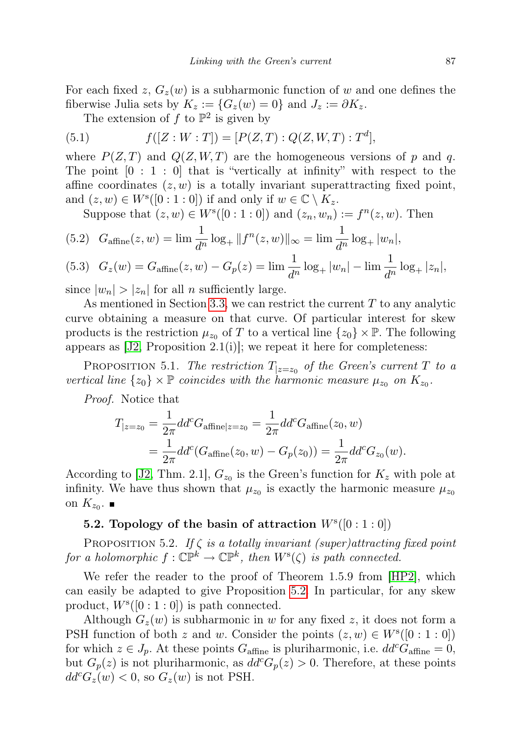For each fixed z,  $G_z(w)$  is a subharmonic function of w and one defines the fiberwise Julia sets by  $K_z := \{G_z(w) = 0\}$  and  $J_z := \partial K_z$ .

The extension of  $f$  to  $\mathbb{P}^2$  is given by

(5.1) 
$$
f([Z:W:T]) = [P(Z,T):Q(Z,W,T):T^d],
$$

where  $P(Z, T)$  and  $Q(Z, W, T)$  are the homogeneous versions of p and q. The point  $[0:1:0]$  that is "vertically at infinity" with respect to the affine coordinates  $(z, w)$  is a totally invariant superattracting fixed point, and  $(z, w) \in W^{s}([0:1:0])$  if and only if  $w \in \mathbb{C} \setminus K_z$ .

Suppose that  $(z, w) \in W^{s}([0:1:0])$  and  $(z_n, w_n) := f^{n}(z, w)$ . Then

(5.2) 
$$
G_{\text{affine}}(z, w) = \lim \frac{1}{d^n} \log_+ ||f^n(z, w)||_{\infty} = \lim \frac{1}{d^n} \log_+ |w_n|,
$$

<span id="page-14-2"></span>(5.3) 
$$
G_z(w) = G_{\text{affine}}(z, w) - G_p(z) = \lim \frac{1}{d^n} \log_+ |w_n| - \lim \frac{1}{d^n} \log_+ |z_n|
$$

since  $|w_n| > |z_n|$  for all n sufficiently large.

As mentioned in Section [3.3,](#page-7-0) we can restrict the current  $T$  to any analytic curve obtaining a measure on that curve. Of particular interest for skew products is the restriction  $\mu_{z_0}$  of T to a vertical line  $\{z_0\} \times \mathbb{P}$ . The following appears as  $[J2, Proposition 2.1(i)]$  $[J2, Proposition 2.1(i)]$ ; we repeat it here for completeness:

<span id="page-14-0"></span>PROPOSITION 5.1. The restriction  $T_{|z=z_0}$  of the Green's current T to a vertical line  $\{z_0\} \times \mathbb{P}$  coincides with the harmonic measure  $\mu_{z_0}$  on  $K_{z_0}$ .

Proof. Notice that

$$
T_{|z=z_0} = \frac{1}{2\pi} dd^c G_{\text{affine}|z=z_0} = \frac{1}{2\pi} dd^c G_{\text{affine}}(z_0, w)
$$
  
= 
$$
\frac{1}{2\pi} dd^c (G_{\text{affine}}(z_0, w) - G_p(z_0)) = \frac{1}{2\pi} dd^c G_{z_0}(w).
$$

According to [\[J2,](#page-24-2) Thm. 2.1],  $G_{z_0}$  is the Green's function for  $K_z$  with pole at infinity. We have thus shown that  $\mu_{z_0}$  is exactly the harmonic measure  $\mu_{z_0}$ on  $K_{z_0}$ .

## 5.2. Topology of the basin of attraction  $W^{s}([0:1:0])$

<span id="page-14-1"></span>PROPOSITION 5.2. If  $\zeta$  is a totally invariant (super)attracting fixed point for a holomorphic  $f: \mathbb{CP}^k \to \mathbb{CP}^k$ , then  $W^s(\zeta)$  is path connected.

We refer the reader to the proof of Theorem 1.5.9 from [\[HP2\]](#page-24-9), which can easily be adapted to give Proposition [5.2.](#page-14-1) In particular, for any skew product,  $W^s([0:1:0])$  is path connected.

<span id="page-14-3"></span>Although  $G_z(w)$  is subharmonic in w for any fixed z, it does not form a PSH function of both z and w. Consider the points  $(z, w) \in W^{s}([0:1:0])$ for which  $z \in J_p$ . At these points  $G_{\text{affine}}$  is pluriharmonic, i.e.  $dd^c G_{\text{affine}} = 0$ , but  $G_p(z)$  is not pluriharmonic, as  $dd^c G_p(z) > 0$ . Therefore, at these points  $dd^cG_z(w) < 0$ , so  $G_z(w)$  is not PSH.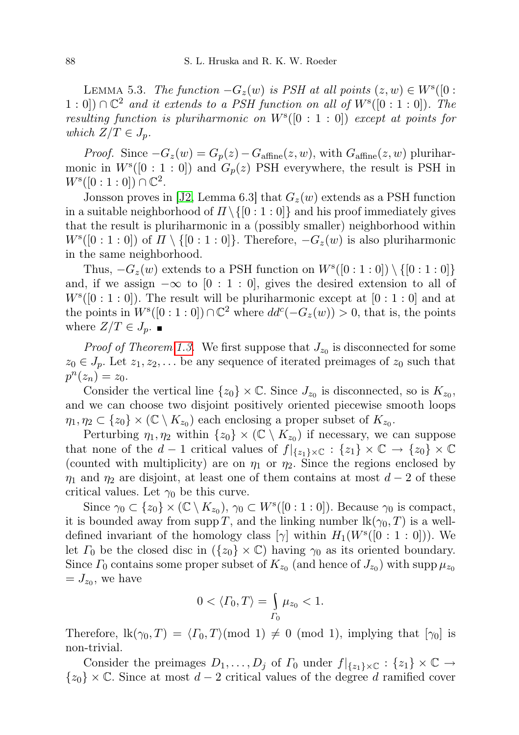LEMMA 5.3. The function  $-G_z(w)$  is PSH at all points  $(z, w) \in W^s([0 :$ 1 : 0]) ∩  $\mathbb{C}^2$  and it extends to a PSH function on all of  $W^s([0:1:0])$ . The resulting function is pluriharmonic on  $W^{s}([0:1:0])$  except at points for which  $Z/T \in J_p$ .

*Proof.* Since  $-G_z(w) = G_p(z) - G_{\text{affine}}(z, w)$ , with  $G_{\text{affine}}(z, w)$  pluriharmonic in  $W^{s}([0:1:0])$  and  $G_p(z)$  PSH everywhere, the result is PSH in  $W^{s}([0:1:0]) \cap \mathbb{C}^{2}.$ 

Jonsson proves in [\[J2,](#page-24-2) Lemma 6.3] that  $G_z(w)$  extends as a PSH function in a suitable neighborhood of  $\Pi \setminus \{0 : 1 : 0\}$  and his proof immediately gives that the result is pluriharmonic in a (possibly smaller) neighborhood within  $W^{s}([0:1:0])$  of  $\Pi \setminus \{[0:1:0]\}$ . Therefore,  $-G_z(w)$  is also pluriharmonic in the same neighborhood.

Thus,  $-G_z(w)$  extends to a PSH function on  $W^s([0:1:0]) \setminus \{[0:1:0]\}$ and, if we assign  $-\infty$  to  $[0:1:0]$ , gives the desired extension to all of  $W^{s}([0:1:0])$ . The result will be pluriharmonic except at  $[0:1:0]$  and at the points in  $W^{s}([0:1:0]) \cap \mathbb{C}^2$  where  $dd^{c}(-G_z(w)) > 0$ , that is, the points where  $Z/T \in J_p$ .

*Proof of Theorem [1.3.](#page-2-0)* We first suppose that  $J_{z_0}$  is disconnected for some  $z_0 \in J_p$ . Let  $z_1, z_2, \ldots$  be any sequence of iterated preimages of  $z_0$  such that  $p^n(z_n) = z_0.$ 

Consider the vertical line  $\{z_0\} \times \mathbb{C}$ . Since  $J_{z_0}$  is disconnected, so is  $K_{z_0}$ , and we can choose two disjoint positively oriented piecewise smooth loops  $\eta_1, \eta_2 \subset \{z_0\} \times (\mathbb{C} \setminus K_{z_0})$  each enclosing a proper subset of  $K_{z_0}$ .

Perturbing  $\eta_1, \eta_2$  within  $\{z_0\} \times (\mathbb{C} \setminus K_{z_0})$  if necessary, we can suppose that none of the d – 1 critical values of  $f|_{\{z_1\}\times\mathbb{C}}:\{z_1\}\times\mathbb{C}\to\{z_0\}\times\mathbb{C}$ (counted with multiplicity) are on  $\eta_1$  or  $\eta_2$ . Since the regions enclosed by  $\eta_1$  and  $\eta_2$  are disjoint, at least one of them contains at most  $d-2$  of these critical values. Let  $\gamma_0$  be this curve.

Since  $\gamma_0 \subset \{z_0\} \times (\mathbb{C} \setminus K_{z_0}), \gamma_0 \subset W^s([0:1:0])$ . Because  $\gamma_0$  is compact, it is bounded away from supp T, and the linking number  $\text{lk}(\gamma_0, T)$  is a welldefined invariant of the homology class  $[\gamma]$  within  $H_1(W^s([0:1:0]))$ . We let  $\Gamma_0$  be the closed disc in  $({z_0} \times \mathbb{C})$  having  $\gamma_0$  as its oriented boundary. Since  $\Gamma_0$  contains some proper subset of  $K_{z_0}$  (and hence of  $J_{z_0}$ ) with supp  $\mu_{z_0}$  $= J_{z_0}$ , we have

$$
0 \langle \langle \Gamma_0, T \rangle = \int_{\Gamma_0} \mu_{z_0} < 1.
$$

Therefore,  $lk(\gamma_0, T) = \langle \Gamma_0, T \rangle \pmod{1} \neq 0 \pmod{1}$ , implying that  $[\gamma_0]$  is non-trivial.

Consider the preimages  $D_1, \ldots, D_j$  of  $\Gamma_0$  under  $f|_{\{z_1\}\times\mathbb{C}} : \{z_1\}\times\mathbb{C} \to$  ${z_0} \times \mathbb{C}$ . Since at most  $d-2$  critical values of the degree d ramified cover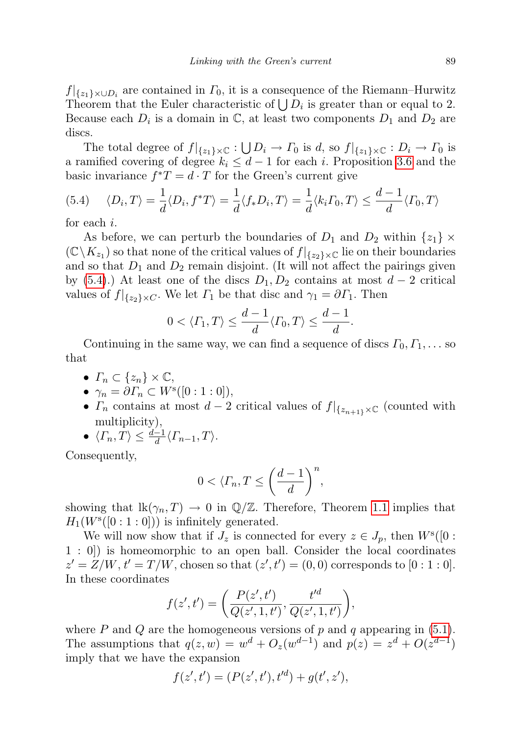$f|_{\{z_1\}\times\cup D_i}$  are contained in  $\Gamma_0$ , it is a consequence of the Riemann–Hurwitz Theorem that the Euler characteristic of  $\bigcup D_i$  is greater than or equal to 2. Because each  $D_i$  is a domain in  $\mathbb{C}$ , at least two components  $D_1$  and  $D_2$  are discs.

The total degree of  $f|_{\{z_1\}\times\mathbb{C}}:\bigcup D_i\to\Gamma_0$  is d, so  $f|_{\{z_1\}\times\mathbb{C}}:D_i\to\Gamma_0$  is a ramified covering of degree  $k_i \leq d-1$  for each i. Proposition [3.6](#page-7-1) and the basic invariance  $f^*T = d \cdot T$  for the Green's current give

<span id="page-16-0"></span>
$$
(5.4)\quad \langle D_i, T \rangle = \frac{1}{d} \langle D_i, f^*T \rangle = \frac{1}{d} \langle f_* D_i, T \rangle = \frac{1}{d} \langle k_i \Gamma_0, T \rangle \le \frac{d-1}{d} \langle \Gamma_0, T \rangle
$$

for each i.

As before, we can perturb the boundaries of  $D_1$  and  $D_2$  within  $\{z_1\} \times$  $(\mathbb{C}\setminus K_{z_1})$  so that none of the critical values of  $f|_{\{z_2\}\times\mathbb{C}}$  lie on their boundaries and so that  $D_1$  and  $D_2$  remain disjoint. (It will not affect the pairings given by [\(5.4\)](#page-16-0).) At least one of the discs  $D_1, D_2$  contains at most  $d-2$  critical values of  $f|_{\{z_2\}\times C}$ . We let  $\Gamma_1$  be that disc and  $\gamma_1 = \partial \Gamma_1$ . Then

$$
0 < \langle \varGamma_1, T \rangle \le \frac{d-1}{d} \langle \varGamma_0, T \rangle \le \frac{d-1}{d}.
$$

Continuing in the same way, we can find a sequence of discs  $\Gamma_0, \Gamma_1, \ldots$  so that

- $\Gamma_n \subset \{z_n\} \times \mathbb{C},$
- $\gamma_n = \partial \Gamma_n \subset W^s([0:1:0]),$
- $\Gamma_n$  contains at most  $d-2$  critical values of  $f|_{\{z_{n+1},\times\mathbb{C}}}\}$  (counted with multiplicity),
- $\langle \Gamma_n, T \rangle \leq \frac{d-1}{d} \langle \Gamma_{n-1}, T \rangle.$

Consequently,

$$
0<\langle\varGamma_n,\varUpsilon\leq \left(\frac{d-1}{d}\right)^n,
$$

showing that  $\text{lk}(\gamma_n, T) \to 0$  in  $\mathbb{Q}/\mathbb{Z}$ . Therefore, Theorem [1.1](#page-1-0) implies that  $H_1(W<sup>s</sup>([0:1:0]))$  is infinitely generated.

We will now show that if  $J_z$  is connected for every  $z \in J_p$ , then  $W^s([0:$ 1 : 0]) is homeomorphic to an open ball. Consider the local coordinates  $z' = Z/W, t' = T/W$ , chosen so that  $(z', t') = (0, 0)$  corresponds to  $[0:1:0]$ . In these coordinates

$$
f(z',t') = \left(\frac{P(z',t')}{Q(z',1,t')}, \frac{t'^d}{Q(z',1,t')}\right),\,
$$

where P and Q are the homogeneous versions of p and q appearing in  $(5.1)$ . The assumptions that  $q(z, w) = w<sup>d</sup> + O<sub>z</sub>(w<sup>d-1</sup>)$  and  $p(z) = z<sup>d</sup> + O(z<sup>d-1</sup>)$ imply that we have the expansion

$$
f(z',t') = (P(z',t'),t'^d) + g(t',z'),
$$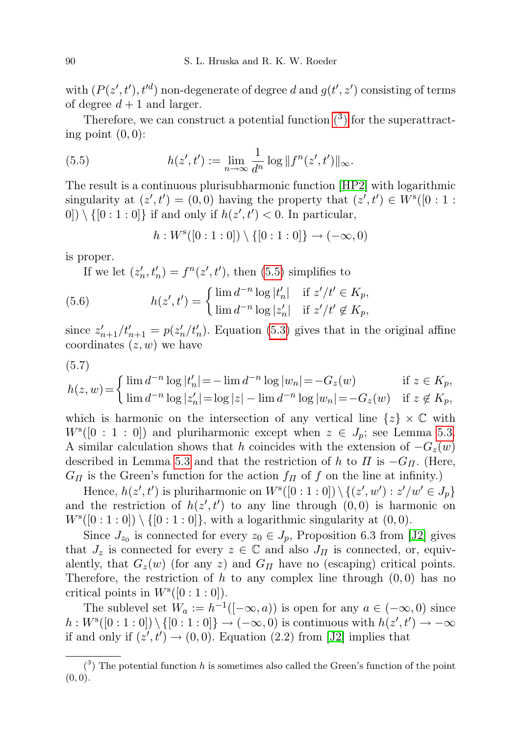with  $(P(z', t'), t'd)$  non-degenerate of degree d and  $g(t', z')$  consisting of terms of degree  $d+1$  and larger.

Therefore, we can construct a potential function  $(3)$  $(3)$  for the superattracting point  $(0, 0)$ :

<span id="page-17-1"></span>(5.5) 
$$
h(z',t') := \lim_{n \to \infty} \frac{1}{d^n} \log ||f^n(z',t')||_{\infty}.
$$

The result is a continuous plurisubharmonic function [\[HP2\]](#page-24-9) with logarithmic singularity at  $(z', t') = (0, 0)$  having the property that  $(z', t') \in W^{s}([0:1:1])$  $[0] \setminus \{ [0:1:0] \}$  if and only if  $h(z',t') < 0$ . In particular,

$$
h: W^s([0:1:0]) \setminus \{[0:1:0]\} \to (-\infty,0)
$$

is proper.

If we let  $(z'_n, t'_n) = f^n(z', t')$ , then [\(5.5\)](#page-17-1) simplifies to

(5.6) 
$$
h(z',t') = \begin{cases} \lim_{n \to \infty} d^{-n} \log |t'_n| & \text{if } z'/t' \in K_p, \\ \lim_{n \to \infty} d^{-n} \log |z'_n| & \text{if } z'/t' \notin K_p, \end{cases}
$$

since  $z'_{n+1}/t'_{n+1} = p(z'_n/t'_n)$ . Equation [\(5.3\)](#page-14-2) gives that in the original affine coordinates  $(z, w)$  we have

$$
(5.7)
$$

$$
h(z, w) = \begin{cases} \lim_{n \to \infty} d^{-n} \log |t'_n| = -\lim_{n \to \infty} d^{-n} \log |w_n| = -G_z(w) & \text{if } z \in K_p, \\ \lim_{n \to \infty} d^{-n} \log |z'_n| = \log |z| - \lim_{n \to \infty} d^{-n} \log |w_n| = -G_z(w) & \text{if } z \notin K_p, \end{cases}
$$

which is harmonic on the intersection of any vertical line  $\{z\} \times \mathbb{C}$  with  $W^{s}([0:1:0])$  and pluriharmonic except when  $z \in J_p$ ; see Lemma [5.3.](#page-14-3) A similar calculation shows that h coincides with the extension of  $-G_z(w)$ described in Lemma [5.3](#page-14-3) and that the restriction of h to  $\Pi$  is  $-G_{\Pi}$ . (Here,  $G_{\Pi}$  is the Green's function for the action  $f_{\Pi}$  of f on the line at infinity.)

Hence,  $h(z', t')$  is pluriharmonic on  $W^{s}([0:1:0]) \setminus \{(z', w') : z'/w' \in J_p\}$ and the restriction of  $h(z', t')$  to any line through  $(0, 0)$  is harmonic on  $W^{s}([0:1:0]) \setminus \{[0:1:0]\},$  with a logarithmic singularity at  $(0,0)$ .

Since  $J_{z_0}$  is connected for every  $z_0 \in J_p$ , Proposition 6.3 from [\[J2\]](#page-24-2) gives that  $J_z$  is connected for every  $z \in \mathbb{C}$  and also  $J_{\Pi}$  is connected, or, equivalently, that  $G_z(w)$  (for any z) and  $G_{\Pi}$  have no (escaping) critical points. Therefore, the restriction of h to any complex line through  $(0, 0)$  has no critical points in  $W^{s}([0:1:0]).$ 

The sublevel set  $W_a := h^{-1}([-\infty, a))$  is open for any  $a \in (-\infty, 0)$  since  $h: W^{s}([0:1:0]) \setminus \{[0:1:0]\} \to (-\infty,0)$  is continuous with  $h(z',t') \to -\infty$ if and only if  $(z', t') \rightarrow (0, 0)$ . Equation (2.2) from [\[J2\]](#page-24-2) implies that

<span id="page-17-0"></span> $(3)$  The potential function h is sometimes also called the Green's function of the point  $(0, 0).$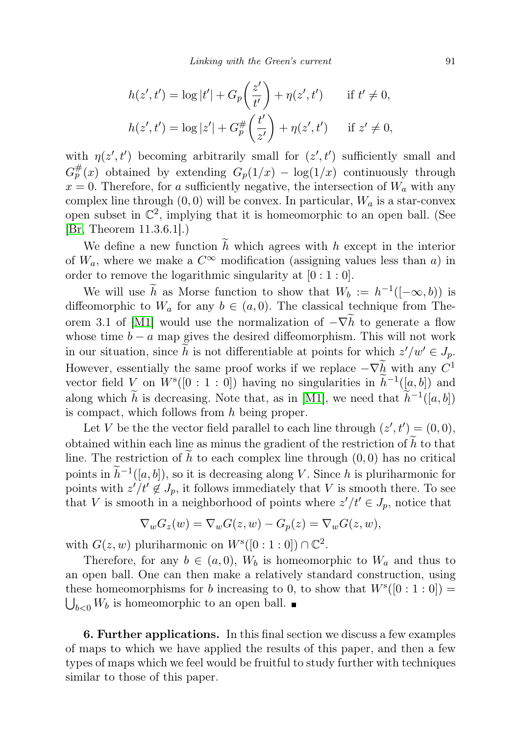$$
h(z',t') = \log |t'| + G_p\left(\frac{z'}{t'}\right) + \eta(z',t') \quad \text{if } t' \neq 0,
$$
  

$$
h(z',t') = \log |z'| + G_p^{\#}\left(\frac{t'}{z'}\right) + \eta(z',t') \quad \text{if } z' \neq 0,
$$

with  $\eta(z',t')$  becoming arbitrarily small for  $(z',t')$  sufficiently small and  $G_p^{\#}(x)$  obtained by extending  $G_p(1/x) - \log(1/x)$  continuously through  $x = 0$ . Therefore, for a sufficiently negative, the intersection of  $W_a$  with any complex line through  $(0, 0)$  will be convex. In particular,  $W_a$  is a star-convex open subset in  $\mathbb{C}^2$ , implying that it is homeomorphic to an open ball. (See [\[Br,](#page-24-10) Theorem 11.3.6.1].)

We define a new function  $\tilde{h}$  which agrees with h except in the interior of  $W_a$ , where we make a  $C^{\infty}$  modification (assigning values less than a) in order to remove the logarithmic singularity at  $[0:1:0]$ .

We will use  $\tilde{h}$  as Morse function to show that  $W_b := h^{-1}([-\infty, b])$  is diffeomorphic to  $W_a$  for any  $b \in (a, 0)$ . The classical technique from The-orem 3.1 of [\[M1\]](#page-25-7) would use the normalization of  $-\nabla h$  to generate a flow whose time  $b - a$  map gives the desired diffeomorphism. This will not work in our situation, since  $\tilde{h}$  is not differentiable at points for which  $z'/w' \in J_p$ . However, essentially the same proof works if we replace  $-\nabla h$  with any  $C^1$ vector field  $V$  on  $W^{s}([0:1:0])$  having no singularities in  $\widetilde{h}^{-1}([a,b])$  and along which  $\tilde{h}$  is decreasing. Note that, as in [\[M1\]](#page-25-7), we need that  $\tilde{h}^{-1}([a, b])$ is compact, which follows from h being proper.

Let V be the the vector field parallel to each line through  $(z', t') = (0, 0)$ , obtained within each line as minus the gradient of the restriction of  $h$  to that line. The restriction of h to each complex line through  $(0, 0)$  has no critical points in  $\tilde{h}^{-1}([a, b])$ , so it is decreasing along V. Since h is pluriharmonic for points with  $z'/t' \notin J_p$ , it follows immediately that V is smooth there. To see that V is smooth in a neighborhood of points where  $z'/t' \in J_p$ , notice that

$$
\nabla_w G_z(w) = \nabla_w G(z, w) - G_p(z) = \nabla_w G(z, w),
$$

with  $G(z, w)$  pluriharmonic on  $W^{s}([0:1:0]) \cap \mathbb{C}^{2}$ .

Therefore, for any  $b \in (a, 0)$ ,  $W_b$  is homeomorphic to  $W_a$  and thus to an open ball. One can then make a relatively standard construction, using these homeomorphisms for b increasing to 0, to show that  $W^{s}([0:1:0]) =$  $\bigcup_{b<0}W_b$  is homeomorphic to an open ball.

<span id="page-18-0"></span>6. Further applications. In this final section we discuss a few examples of maps to which we have applied the results of this paper, and then a few types of maps which we feel would be fruitful to study further with techniques similar to those of this paper.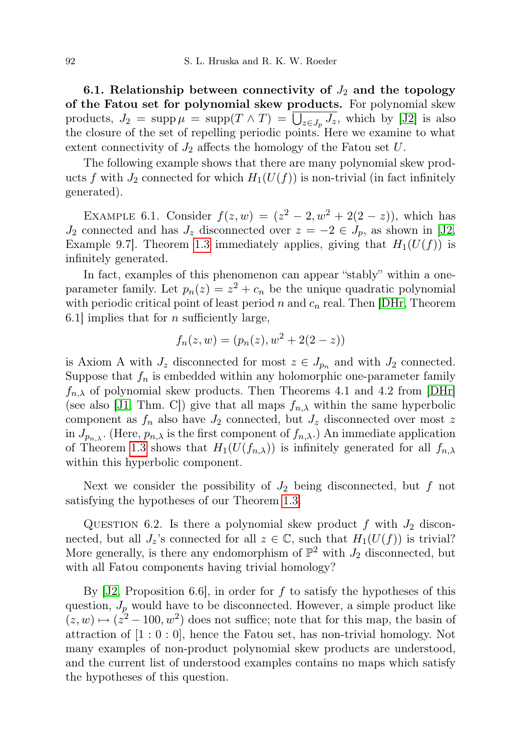6.1. Relationship between connectivity of  $J_2$  and the topology of the Fatou set for polynomial skew products. For polynomial skew products,  $J_2 = \text{supp}\,\mu = \text{supp}(T \wedge T) = \bigcup_{z \in J_p} J_z$ , which by [\[J2\]](#page-24-2) is also the closure of the set of repelling periodic points. Here we examine to what extent connectivity of  $J_2$  affects the homology of the Fatou set U.

The following example shows that there are many polynomial skew products f with  $J_2$  connected for which  $H_1(U(f))$  is non-trivial (in fact infinitely generated).

<span id="page-19-0"></span>EXAMPLE 6.1. Consider  $f(z, w) = (z^2 - 2, w^2 + 2(2 - z))$ , which has  $J_2$  connected and has  $J_z$  disconnected over  $z = -2 \in J_p$ , as shown in [\[J2,](#page-24-2) Example 9.7. Theorem [1.3](#page-2-0) immediately applies, giving that  $H_1(U(f))$  is infinitely generated.

In fact, examples of this phenomenon can appear "stably" within a oneparameter family. Let  $p_n(z) = z^2 + c_n$  be the unique quadratic polynomial with periodic critical point of least period n and  $c_n$  real. Then [\[DHr,](#page-24-3) Theorem 6.1 implies that for *n* sufficiently large,

$$
f_n(z, w) = (p_n(z), w^2 + 2(2 - z))
$$

is Axiom A with  $J_z$  disconnected for most  $z \in J_{p_n}$  and with  $J_2$  connected. Suppose that  $f_n$  is embedded within any holomorphic one-parameter family  $f_{n,\lambda}$  of polynomial skew products. Then Theorems 4.1 and 4.2 from [\[DHr\]](#page-24-3) (see also [\[J1,](#page-24-11) Thm. C]) give that all maps  $f_{n,\lambda}$  within the same hyperbolic component as  $f_n$  also have  $J_2$  connected, but  $J_z$  disconnected over most z in  $J_{p_{n,\lambda}}$ . (Here,  $p_{n,\lambda}$  is the first component of  $f_{n,\lambda}$ .) An immediate application of Theorem [1.3](#page-2-0) shows that  $H_1(U(f_{n,\lambda}))$  is infinitely generated for all  $f_{n,\lambda}$ within this hyperbolic component.

Next we consider the possibility of  $J_2$  being disconnected, but f not satisfying the hypotheses of our Theorem [1.3.](#page-2-0)

QUESTION 6.2. Is there a polynomial skew product f with  $J_2$  disconnected, but all  $J_z$ 's connected for all  $z \in \mathbb{C}$ , such that  $H_1(U(f))$  is trivial? More generally, is there any endomorphism of  $\mathbb{P}^2$  with  $J_2$  disconnected, but with all Fatou components having trivial homology?

By  $|J2$ , Proposition 6.6, in order for f to satisfy the hypotheses of this question,  $J_p$  would have to be disconnected. However, a simple product like  $(z, w) \mapsto (z^2 - 100, w^2)$  does not suffice; note that for this map, the basin of attraction of  $[1:0:0]$ , hence the Fatou set, has non-trivial homology. Not many examples of non-product polynomial skew products are understood, and the current list of understood examples contains no maps which satisfy the hypotheses of this question.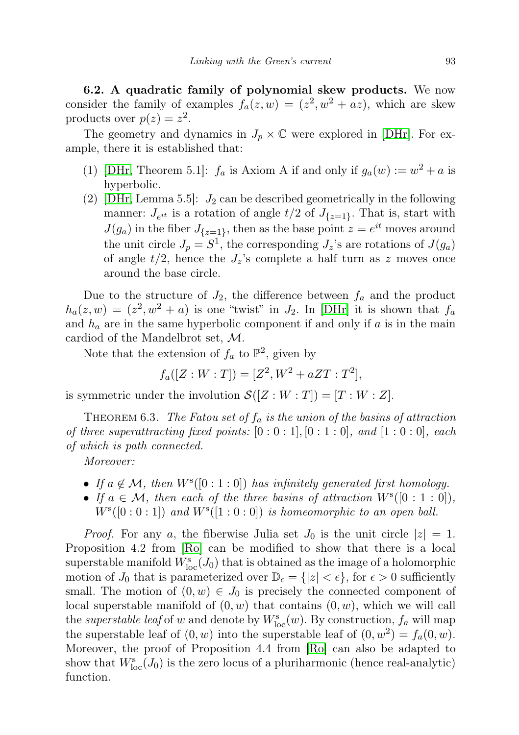<span id="page-20-0"></span>6.2. A quadratic family of polynomial skew products. We now consider the family of examples  $f_a(z, w) = (z^2, w^2 + az)$ , which are skew products over  $p(z) = z^2$ .

The geometry and dynamics in  $J_p \times \mathbb{C}$  were explored in [\[DHr\]](#page-24-3). For example, there it is established that:

- (1) [\[DHr,](#page-24-3) Theorem 5.1]:  $f_a$  is Axiom A if and only if  $g_a(w) := w^2 + a$  is hyperbolic.
- (2) [\[DHr,](#page-24-3) Lemma 5.5]:  $J_2$  can be described geometrically in the following manner:  $J_{e^{it}}$  is a rotation of angle  $t/2$  of  $J_{\{z=1\}}$ . That is, start with  $J(g_a)$  in the fiber  $J_{\{z=1\}}$ , then as the base point  $z = e^{it}$  moves around the unit circle  $J_p = S^1$ , the corresponding  $J_z$ 's are rotations of  $J(g_a)$ of angle  $t/2$ , hence the  $J_z$ 's complete a half turn as z moves once around the base circle.

Due to the structure of  $J_2$ , the difference between  $f_a$  and the product  $h_a(z, w) = (z^2, w^2 + a)$  is one "twist" in  $J_2$ . In [\[DHr\]](#page-24-3) it is shown that  $f_a$ and  $h_a$  are in the same hyperbolic component if and only if a is in the main cardiod of the Mandelbrot set, M.

Note that the extension of  $f_a$  to  $\mathbb{P}^2$ , given by

 $f_a([Z:W:T]) = [Z^2, W^2 + aZT : T^2],$ 

is symmetric under the involution  $\mathcal{S}([Z:W:T]) = [T:W:Z].$ 

<span id="page-20-1"></span>THEOREM 6.3. The Fatou set of  $f_a$  is the union of the basins of attraction of three superattracting fixed points:  $[0:0:1], [0:1:0],$  and  $[1:0:0],$  each of which is path connected.

Moreover:

- If  $a \notin \mathcal{M}$ , then  $W^{s}([0:1:0])$  has infinitely generated first homology.
- If  $a \in \mathcal{M}$ , then each of the three basins of attraction  $W^{s}([0:1:0]),$  $W^{s}([0:0:1])$  and  $W^{s}([1:0:0])$  is homeomorphic to an open ball.

*Proof.* For any a, the fiberwise Julia set  $J_0$  is the unit circle  $|z|=1$ . Proposition 4.2 from [\[Ro\]](#page-25-1) can be modified to show that there is a local superstable manifold  $W^s_{\text{loc}}(J_0)$  that is obtained as the image of a holomorphic motion of  $J_0$  that is parameterized over  $\mathbb{D}_{\epsilon} = \{|z| < \epsilon\}$ , for  $\epsilon > 0$  sufficiently small. The motion of  $(0, w) \in J_0$  is precisely the connected component of local superstable manifold of  $(0, w)$  that contains  $(0, w)$ , which we will call the *superstable leaf* of w and denote by  $W_{\text{loc}}^s(w)$ . By construction,  $f_a$  will map the superstable leaf of  $(0, w)$  into the superstable leaf of  $(0, w^2) = f_a(0, w)$ . Moreover, the proof of Proposition 4.4 from [\[Ro\]](#page-25-1) can also be adapted to show that  $W_{\text{loc}}^{s}(J_0)$  is the zero locus of a pluriharmonic (hence real-analytic) function.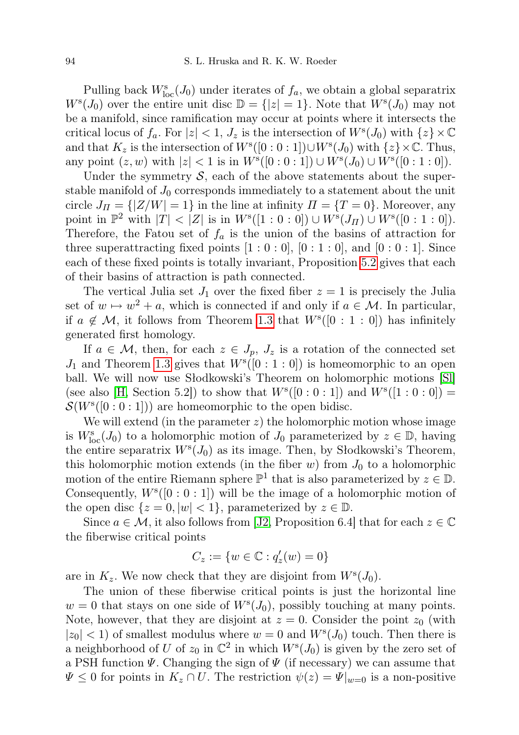Pulling back  $W_{\text{loc}}^{s}(J_0)$  under iterates of  $f_a$ , we obtain a global separatrix  $W^{s}(J_0)$  over the entire unit disc  $\mathbb{D} = \{|z|=1\}$ . Note that  $W^{s}(J_0)$  may not be a manifold, since ramification may occur at points where it intersects the critical locus of  $f_a$ . For  $|z| < 1$ ,  $J_z$  is the intersection of  $W<sup>s</sup>(J_0)$  with  $\{z\} \times \mathbb{C}$ and that  $K_z$  is the intersection of  $W^s([0:0:1]) \cup W^s(J_0)$  with  $\{z\} \times \mathbb{C}$ . Thus, any point  $(z, w)$  with  $|z| < 1$  is in  $W^{s}([0:0:1]) \cup W^{s}(J_0) \cup W^{s}([0:1:0]).$ 

Under the symmetry  $S$ , each of the above statements about the superstable manifold of  $J_0$  corresponds immediately to a statement about the unit circle  $J_{\Pi} = \{ |Z/W| = 1 \}$  in the line at infinity  $\Pi = \{ T = 0 \}$ . Moreover, any point in  $\mathbb{P}^2$  with  $|T| < |Z|$  is in  $W^{s}([1:0:0]) \cup W^{s}(J_{\Pi}) \cup W^{s}([0:1:0]).$ Therefore, the Fatou set of  $f_a$  is the union of the basins of attraction for three superattracting fixed points  $[1:0:0]$ ,  $[0:1:0]$ , and  $[0:0:1]$ . Since each of these fixed points is totally invariant, Proposition [5.2](#page-14-1) gives that each of their basins of attraction is path connected.

The vertical Julia set  $J_1$  over the fixed fiber  $z = 1$  is precisely the Julia set of  $w \mapsto w^2 + a$ , which is connected if and only if  $a \in \mathcal{M}$ . In particular, if  $a \notin \mathcal{M}$ , it follows from Theorem [1.3](#page-2-0) that  $W^{s}([0:1:0])$  has infinitely generated first homology.

If  $a \in \mathcal{M}$ , then, for each  $z \in J_p$ ,  $J_z$  is a rotation of the connected set  $J_1$  and Theorem [1.3](#page-2-0) gives that  $W^s([0:1:0])$  is homeomorphic to an open ball. We will now use Słodkowski's Theorem on holomorphic motions [\[Sl\]](#page-25-8) (see also [\[H,](#page-24-12) Section 5.2]) to show that  $W^{s}([0:0:1])$  and  $W^{s}([1:0:0])$  =  $\mathcal{S}(W^s([0:0:1]))$  are homeomorphic to the open bidisc.

We will extend (in the parameter  $z$ ) the holomorphic motion whose image is  $W_{\text{loc}}^{s}(J_0)$  to a holomorphic motion of  $J_0$  parameterized by  $z \in \mathbb{D}$ , having the entire separatrix  $W^{s}(J_0)$  as its image. Then, by Słodkowski's Theorem, this holomorphic motion extends (in the fiber  $w$ ) from  $J_0$  to a holomorphic motion of the entire Riemann sphere  $\mathbb{P}^1$  that is also parameterized by  $z \in \mathbb{D}$ . Consequently,  $W^{s}([0:0:1])$  will be the image of a holomorphic motion of the open disc  $\{z=0, |w|<1\}$ , parameterized by  $z \in \mathbb{D}$ .

Since  $a \in \mathcal{M}$ , it also follows from [\[J2,](#page-24-2) Proposition 6.4] that for each  $z \in \mathbb{C}$ the fiberwise critical points

$$
C_z := \{w \in \mathbb{C} : q'_z(w) = 0\}
$$

are in  $K_z$ . We now check that they are disjoint from  $W^s(J_0)$ .

The union of these fiberwise critical points is just the horizontal line  $w = 0$  that stays on one side of  $W<sup>s</sup>(J<sub>0</sub>)$ , possibly touching at many points. Note, however, that they are disjoint at  $z = 0$ . Consider the point  $z_0$  (with  $|z_0|$  < 1) of smallest modulus where  $w = 0$  and  $W<sup>s</sup>(J_0)$  touch. Then there is a neighborhood of U of  $z_0$  in  $\mathbb{C}^2$  in which  $W<sup>s</sup>(J_0)$  is given by the zero set of a PSH function  $\Psi$ . Changing the sign of  $\Psi$  (if necessary) we can assume that  $\Psi \leq 0$  for points in  $K_z \cap U$ . The restriction  $\psi(z) = \Psi|_{w=0}$  is a non-positive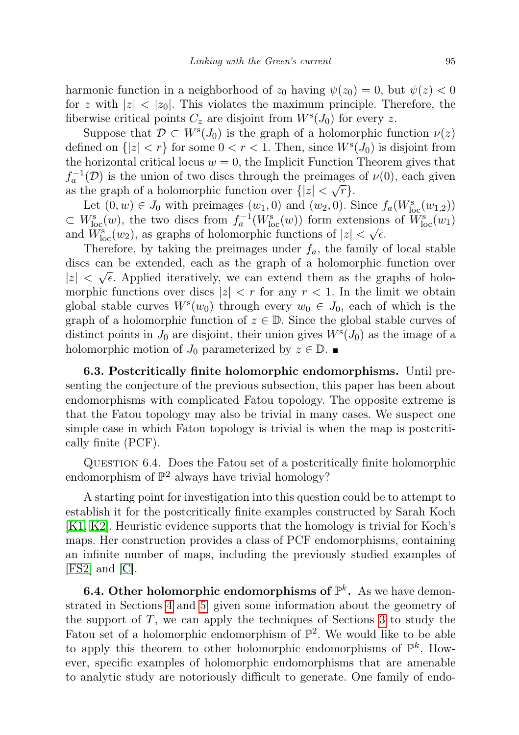harmonic function in a neighborhood of  $z_0$  having  $\psi(z_0) = 0$ , but  $\psi(z) < 0$ for z with  $|z| < |z_0|$ . This violates the maximum principle. Therefore, the fiberwise critical points  $C_z$  are disjoint from  $W<sup>s</sup>(J<sub>0</sub>)$  for every z.

Suppose that  $\mathcal{D} \subset W^s(J_0)$  is the graph of a holomorphic function  $\nu(z)$ defined on  $\{|z| < r\}$  for some  $0 < r < 1$ . Then, since  $W^s(J_0)$  is disjoint from the horizontal critical locus  $w = 0$ , the Implicit Function Theorem gives that  $f_a^{-1}(\mathcal{D})$  is the union of two discs through the preimages of  $\nu(0)$ , each given as the graph of a holomorphic function over  $\{|z| < \sqrt{r}\}.$ 

Let  $(0, w) \in J_0$  with preimages  $(w_1, 0)$  and  $(w_2, 0)$ . Since  $f_a(W^s_{loc}(w_{1,2}))$  $\subset W_{\text{loc}}^{s}(w)$ , the two discs from  $f_{a}^{-1}(W_{\text{loc}}^{s}(w))$  form extensions of  $\widetilde{W}_{\text{loc}}^{s}(w_1)$ and  $\widetilde{W}_{\text{loc}}^{\text{s}}(w_2)$ , as graphs of holomorphic functions of  $|z| < \sqrt{\epsilon}$ .

Therefore, by taking the preimages under  $f_a$ , the family of local stable discs can be extended, each as the graph of a holomorphic function over  $|z| < \sqrt{\epsilon}$ . Applied iteratively, we can extend them as the graphs of holomorphic functions over discs  $|z| < r$  for any  $r < 1$ . In the limit we obtain global stable curves  $W^s(w_0)$  through every  $w_0 \in J_0$ , each of which is the graph of a holomorphic function of  $z \in \mathbb{D}$ . Since the global stable curves of distinct points in  $J_0$  are disjoint, their union gives  $W<sup>s</sup>(J_0)$  as the image of a holomorphic motion of  $J_0$  parameterized by  $z \in \mathbb{D}$ .

6.3. Postcritically finite holomorphic endomorphisms. Until presenting the conjecture of the previous subsection, this paper has been about endomorphisms with complicated Fatou topology. The opposite extreme is that the Fatou topology may also be trivial in many cases. We suspect one simple case in which Fatou topology is trivial is when the map is postcritically finite (PCF).

QUESTION 6.4. Does the Fatou set of a postcritically finite holomorphic endomorphism of  $\mathbb{P}^2$  always have trivial homology?

A starting point for investigation into this question could be to attempt to establish it for the postcritically finite examples constructed by Sarah Koch [\[K1,](#page-25-9) [K2\]](#page-25-10). Heuristic evidence supports that the homology is trivial for Koch's maps. Her construction provides a class of PCF endomorphisms, containing an infinite number of maps, including the previously studied examples of [\[FS2\]](#page-24-13) and [\[C\]](#page-24-14).

**6.4. Other holomorphic endomorphisms of**  $\mathbb{P}^k$ **.** As we have demonstrated in Sections [4](#page-10-0) and [5,](#page-13-0) given some information about the geometry of the support of  $T$ , we can apply the techniques of Sections [3](#page-4-0) to study the Fatou set of a holomorphic endomorphism of  $\mathbb{P}^2$ . We would like to be able to apply this theorem to other holomorphic endomorphisms of  $\mathbb{P}^k$ . However, specific examples of holomorphic endomorphisms that are amenable to analytic study are notoriously difficult to generate. One family of endo-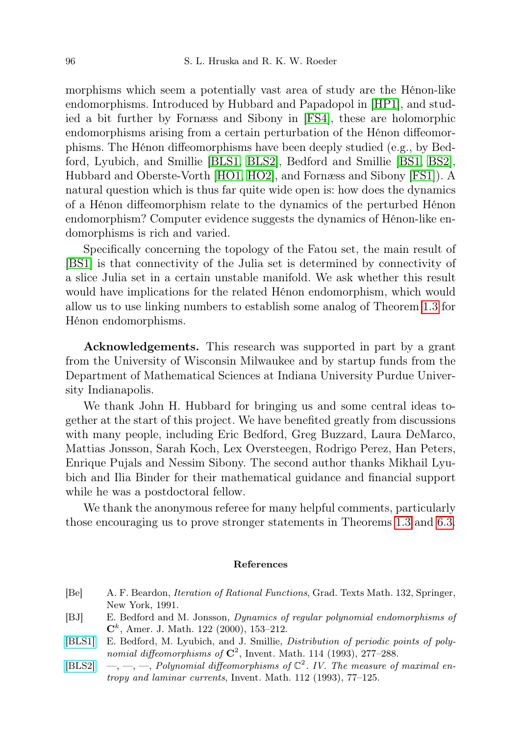morphisms which seem a potentially vast area of study are the Hénon-like endomorphisms. Introduced by Hubbard and Papadopol in [\[HP1\]](#page-24-1), and studied a bit further by Fornæss and Sibony in [\[FS4\]](#page-24-15), these are holomorphic endomorphisms arising from a certain perturbation of the Hénon diffeomorphisms. The Hénon diffeomorphisms have been deeply studied (e.g., by Bedford, Lyubich, and Smillie [\[BLS1,](#page-23-2) [BLS2\]](#page-23-3), Bedford and Smillie [\[BS1,](#page-24-16) [BS2\]](#page-24-17), Hubbard and Oberste-Vorth [\[HO1,](#page-24-18) [HO2\]](#page-24-19), and Fornæss and Sibony [\[FS1\]](#page-24-20)). A natural question which is thus far quite wide open is: how does the dynamics of a Hénon diffeomorphism relate to the dynamics of the perturbed Hénon endomorphism? Computer evidence suggests the dynamics of Hénon-like endomorphisms is rich and varied.

Specifically concerning the topology of the Fatou set, the main result of [\[BS1\]](#page-24-16) is that connectivity of the Julia set is determined by connectivity of a slice Julia set in a certain unstable manifold. We ask whether this result would have implications for the related Hénon endomorphism, which would allow us to use linking numbers to establish some analog of Theorem [1.3](#page-2-0) for Hénon endomorphisms.

Acknowledgements. This research was supported in part by a grant from the University of Wisconsin Milwaukee and by startup funds from the Department of Mathematical Sciences at Indiana University Purdue University Indianapolis.

We thank John H. Hubbard for bringing us and some central ideas together at the start of this project. We have benefited greatly from discussions with many people, including Eric Bedford, Greg Buzzard, Laura DeMarco, Mattias Jonsson, Sarah Koch, Lex Oversteegen, Rodrigo Perez, Han Peters, Enrique Pujals and Nessim Sibony. The second author thanks Mikhail Lyubich and Ilia Binder for their mathematical guidance and financial support while he was a postdoctoral fellow.

We thank the anonymous referee for many helpful comments, particularly those encouraging us to prove stronger statements in Theorems [1.3](#page-2-0) and [6.3.](#page-20-1)

## References

- <span id="page-23-1"></span>[Be] A. F. Beardon, Iteration of Rational Functions, Grad. Texts Math. 132, Springer, New York, 1991.
- <span id="page-23-0"></span>[BJ] E. Bedford and M. Jonsson, Dynamics of regular polynomial endomorphisms of  $\mathbf{C}^k$ , Amer. J. Math. 122 (2000), 153-212.
- <span id="page-23-2"></span>[\[BLS1\]](http://dx.doi.org/10.1007/BF01232671) E. Bedford, M. Lyubich, and J. Smillie, Distribution of periodic points of polynomial diffeomorphisms of  $\mathbb{C}^2$ , Invent. Math. 114 (1993), 277-288.
- <span id="page-23-3"></span>[\[BLS2\]](http://dx.doi.org/10.1007/BF01232426)  $\quad, \_\_ , \_\_$  Polynomial diffeomorphisms of  $\mathbb{C}^2$ . IV. The measure of maximal entropy and laminar currents, Invent. Math. 112 (1993), 77–125.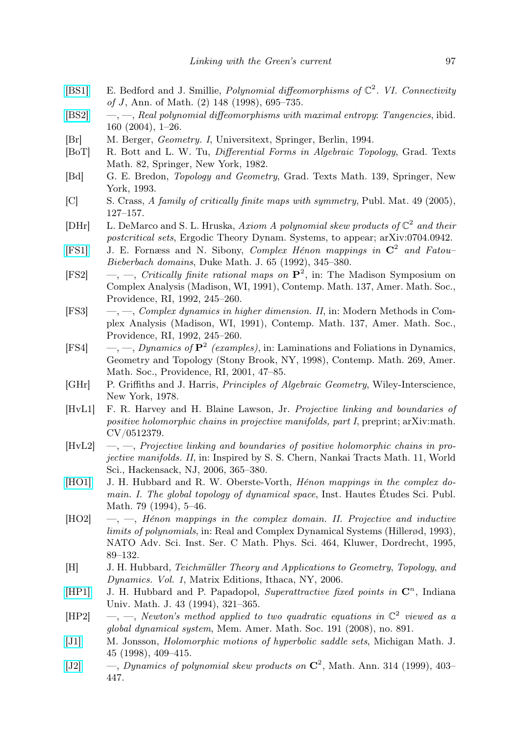- <span id="page-24-16"></span>[\[BS1\]](http://dx.doi.org/10.2307/121006) E. Bedford and J. Smillie, Polynomial diffeomorphisms of  $\mathbb{C}^2$ . VI. Connectivity of J, Ann. of Math. (2) 148 (1998), 695–735.
- <span id="page-24-17"></span> $[BS2] \quad -, [BS2] \quad -,-$ , Real polynomial diffeomorphisms with maximal entropy: Tangencies, ibid. 160 (2004), 1–26.
- <span id="page-24-10"></span>[Br] M. Berger, Geometry. I, Universitext, Springer, Berlin, 1994.
- <span id="page-24-4"></span>[BoT] R. Bott and L. W. Tu, Differential Forms in Algebraic Topology, Grad. Texts Math. 82, Springer, New York, 1982.
- <span id="page-24-5"></span>[Bd] G. E. Bredon, Topology and Geometry, Grad. Texts Math. 139, Springer, New York, 1993.
- <span id="page-24-14"></span>[C] S. Crass, A family of critically finite maps with symmetry, Publ. Mat. 49 (2005), 127–157.
- <span id="page-24-3"></span>[DHr] L. DeMarco and S. L. Hruska, Axiom A polynomial skew products of  $\mathbb{C}^2$  and their postcritical sets, Ergodic Theory Dynam. Systems, to appear; arXiv:0704.0942.
- <span id="page-24-20"></span>[\[FS1\]](http://dx.doi.org/10.1215/S0012-7094-92-06515-X) J. E. Fornæss and N. Sibony, Complex Hénon mappings in  $\mathbb{C}^2$  and Fatou-Bieberbach domains, Duke Math. J. 65 (1992), 345–380.
- <span id="page-24-13"></span>[FS2]  $\quad -, \quad -, \quad Critically \; finite \; rational \; maps \; on \; \mathbf{P}^2, \; in: \; The \; Madison \; Symposium \; on \; the \; Information \; of \; the \; National \; model \; is \; the \; National \; model \; of \; the \; National \; model \; of \; the \; National \; model \; of \; the \; National \; model \; of \; the \; National \; model \; of \; the \; Galile \; model \; of \; the \; Galile \; model \; of \; the \; Galile \; model \; of \; the \; Galile \; model \; of \; the \; Galile \; model \; of \; the \; Galile \; model \; of \; the \$ Complex Analysis (Madison, WI, 1991), Contemp. Math. 137, Amer. Math. Soc., Providence, RI, 1992, 245–260.
- <span id="page-24-0"></span>[FS3] —, —, Complex dynamics in higher dimension. II, in: Modern Methods in Complex Analysis (Madison, WI, 1991), Contemp. Math. 137, Amer. Math. Soc., Providence, RI, 1992, 245–260.
- <span id="page-24-15"></span>[FS4] —,  $\rightarrow$ , *Dynamics of*  $\mathbf{P}^2$  *(examples)*, in: Laminations and Foliations in Dynamics, Geometry and Topology (Stony Brook, NY, 1998), Contemp. Math. 269, Amer. Math. Soc., Providence, RI, 2001, 47–85.
- <span id="page-24-6"></span>[GHr] P. Griffiths and J. Harris, Principles of Algebraic Geometry, Wiley-Interscience, New York, 1978.
- <span id="page-24-7"></span>[HvL1] F. R. Harvey and H. Blaine Lawson, Jr. Projective linking and boundaries of positive holomorphic chains in projective manifolds, part I, preprint; arXiv:math. CV/0512379.
- <span id="page-24-8"></span> $[HvL2] \quad -,-$ , Projective linking and boundaries of positive holomorphic chains in projective manifolds. II, in: Inspired by S. S. Chern, Nankai Tracts Math. 11, World Sci., Hackensack, NJ, 2006, 365–380.
- <span id="page-24-18"></span>[\[HO1\]](http://dx.doi.org/10.1007/BF02698886) J. H. Hubbard and R. W. Oberste-Vorth, *Hénon mappings in the complex do*main. I. The global topology of dynamical space, Inst. Hautes Études Sci. Publ. Math. 79 (1994), 5–46.
- <span id="page-24-19"></span> $[HO2] \quad -$ ,  $-Hénon$  mappings in the complex domain. II. Projective and inductive limits of polynomials, in: Real and Complex Dynamical Systems (Hillerød, 1993), NATO Adv. Sci. Inst. Ser. C Math. Phys. Sci. 464, Kluwer, Dordrecht, 1995, 89–132.
- <span id="page-24-12"></span>[H] J. H. Hubbard, Teichmüller Theory and Applications to Geometry, Topology, and Dynamics. Vol. 1, Matrix Editions, Ithaca, NY, 2006.
- <span id="page-24-1"></span>[\[HP1\]](http://dx.doi.org/10.1512/iumj.1994.43.43014) J. H. Hubbard and P. Papadopol, Superattractive fixed points in  $\mathbb{C}^n$ , Indiana Univ. Math. J. 43 (1994), 321–365.
- <span id="page-24-9"></span>[HP2] -, -, Newton's method applied to two quadratic equations in  $\mathbb{C}^2$  viewed as a global dynamical system, Mem. Amer. Math. Soc. 191 (2008), no. 891.
- <span id="page-24-11"></span>[\[J1\]](http://dx.doi.org/10.1307/mmj/1030132192) M. Jonsson, Holomorphic motions of hyperbolic saddle sets, Michigan Math. J. 45 (1998), 409–415.
- <span id="page-24-2"></span>[\[J2\]](http://dx.doi.org/10.1007/s002080050301)  $\qquad \qquad -$ , Dynamics of polynomial skew products on  $\mathbb{C}^2$ , Math. Ann. 314 (1999), 403-447.